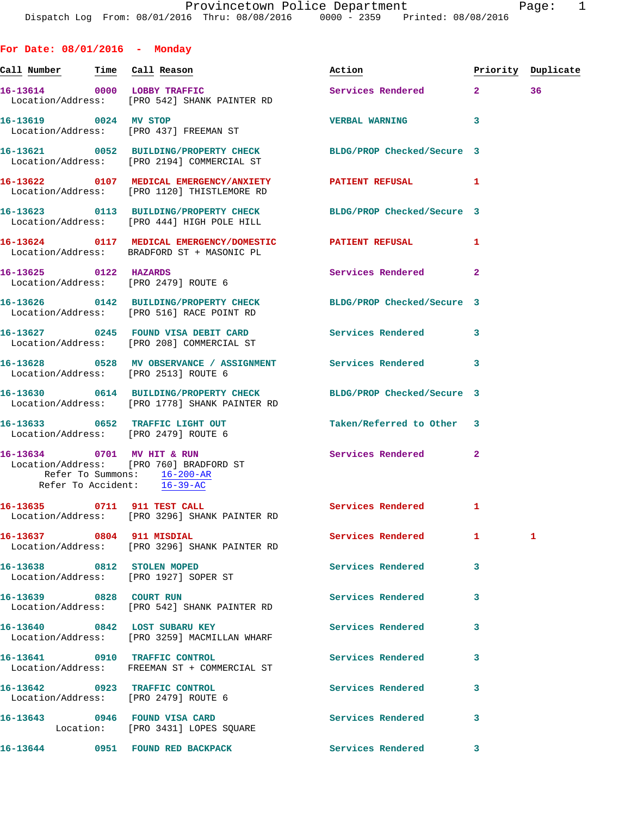**For Date: 08/01/2016 - Monday** Call Number Time Call Reason **Reason Action Action** Priority Duplicate **16-13614 0000 LOBBY TRAFFIC Services Rendered 2 36**  Location/Address: [PRO 542] SHANK PAINTER RD **16-13619 0024 MV STOP VERBAL WARNING 3**  Location/Address: [PRO 437] FREEMAN ST **16-13621 0052 BUILDING/PROPERTY CHECK BLDG/PROP Checked/Secure 3**  Location/Address: [PRO 2194] COMMERCIAL ST **16-13622 0107 MEDICAL EMERGENCY/ANXIETY PATIENT REFUSAL 1**  Location/Address: [PRO 1120] THISTLEMORE RD **16-13623 0113 BUILDING/PROPERTY CHECK BLDG/PROP Checked/Secure 3**  Location/Address: [PRO 444] HIGH POLE HILL **16-13624 0117 MEDICAL EMERGENCY/DOMESTIC PATIENT REFUSAL 1**  Location/Address: BRADFORD ST + MASONIC PL **16-13625 0122 HAZARDS Services Rendered 2**  Location/Address: [PRO 2479] ROUTE 6 **16-13626 0142 BUILDING/PROPERTY CHECK BLDG/PROP Checked/Secure 3**  Location/Address: [PRO 516] RACE POINT RD 16-13627 0245 FOUND VISA DEBIT CARD Services Rendered 3 Location/Address: [PRO 208] COMMERCIAL ST **16-13628 0528 MV OBSERVANCE / ASSIGNMENT Services Rendered 3**  Location/Address: [PRO 2513] ROUTE 6 **16-13630 0614 BUILDING/PROPERTY CHECK BLDG/PROP Checked/Secure 3**  Location/Address: [PRO 1778] SHANK PAINTER RD **16-13633 0652 TRAFFIC LIGHT OUT Taken/Referred to Other 3**  Location/Address: [PRO 2479] ROUTE 6 **16-13634 0701 MV HIT & RUN Services Rendered 2**  Location/Address: [PRO 760] BRADFORD ST Refer To Summons: 16-200-AR Refer To Accident: 16-39-AC 16-13635 0711 911 TEST CALL Services Rendered 1 Location/Address: [PRO 3296] SHANK PAINTER RD **16-13637 0804 911 MISDIAL Services Rendered 1 1**  Location/Address: [PRO 3296] SHANK PAINTER RD **16-13638 0812 STOLEN MOPED Services Rendered 3**  Location/Address: [PRO 1927] SOPER ST **16-13639 0828 COURT RUN Services Rendered 3**  Location/Address: [PRO 542] SHANK PAINTER RD 16-13640 0842 LOST SUBARU KEY **Services Rendered** 3 Location/Address: [PRO 3259] MACMILLAN WHARF **16-13641 0910 TRAFFIC CONTROL Services Rendered 3**  Location/Address: FREEMAN ST + COMMERCIAL ST **16-13642 0923 TRAFFIC CONTROL Services Rendered 3**  Location/Address: [PRO 2479] ROUTE 6 **16-13643 0946 FOUND VISA CARD Services Rendered 3** 

Location: [PRO 3431] LOPES SQUARE

**16-13644 0951 FOUND RED BACKPACK Services Rendered 3**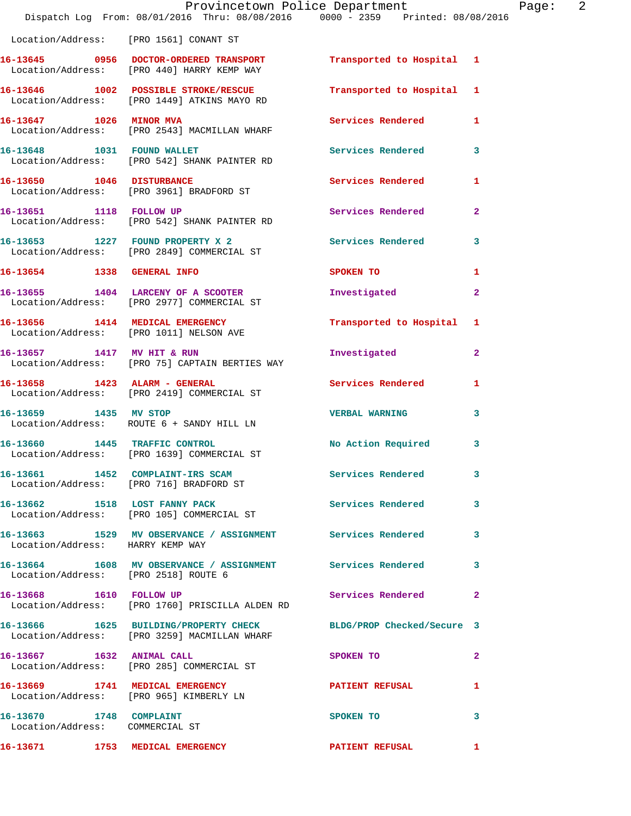|                                                            | Provincetown Police Department<br>Dispatch Log From: 08/01/2016 Thru: 08/08/2016 0000 - 2359 Printed: 08/08/2016 |                                         | Page: 2      |  |
|------------------------------------------------------------|------------------------------------------------------------------------------------------------------------------|-----------------------------------------|--------------|--|
|                                                            | Location/Address: [PRO 1561] CONANT ST                                                                           |                                         |              |  |
|                                                            | 16-13645 0956 DOCTOR-ORDERED TRANSPORT Transported to Hospital 1<br>Location/Address: [PRO 440] HARRY KEMP WAY   |                                         |              |  |
|                                                            | 16-13646 1002 POSSIBLE STROKE/RESCUE<br>Location/Address: [PRO 1449] ATKINS MAYO RD                              | Transported to Hospital 1               |              |  |
|                                                            | 16-13647 1026 MINOR MVA<br>Location/Address: [PRO 2543] MACMILLAN WHARF                                          | Services Rendered 1                     |              |  |
|                                                            | 16-13648 1031 FOUND WALLET<br>Location/Address: [PRO 542] SHANK PAINTER RD                                       | Services Rendered 3                     |              |  |
|                                                            | 16-13650 1046 DISTURBANCE<br>Location/Address: [PRO 3961] BRADFORD ST                                            | <b>Services Rendered</b>                | 1            |  |
| 16-13651 1118 FOLLOW UP                                    | Location/Address: [PRO 542] SHANK PAINTER RD                                                                     | Services Rendered                       | $\mathbf{2}$ |  |
|                                                            | 16-13653 1227 FOUND PROPERTY X 2<br>Location/Address: [PRO 2849] COMMERCIAL ST                                   | Services Rendered 3                     |              |  |
|                                                            | 16-13654 1338 GENERAL INFO                                                                                       | SPOKEN TO DESCRIPTION OF REAL PROPERTY. | 1            |  |
|                                                            | 16-13655 1404 LARCENY OF A SCOOTER<br>Location/Address: [PRO 2977] COMMERCIAL ST                                 | Investigated                            | $\mathbf{2}$ |  |
|                                                            | 16-13656 1414 MEDICAL EMERGENCY<br>Location/Address: [PRO 1011] NELSON AVE                                       | Transported to Hospital 1               |              |  |
|                                                            | 16-13657 1417 MV HIT & RUN<br>Location/Address: [PRO 75] CAPTAIN BERTIES WAY                                     | Investigated                            | $\mathbf{2}$ |  |
| 16-13658 1423 ALARM - GENERAL                              | Location/Address: [PRO 2419] COMMERCIAL ST                                                                       | Services Rendered                       | 1            |  |
|                                                            | 16-13659 1435 MV STOP<br>Location/Address: ROUTE 6 + SANDY HILL LN                                               | <b>VERBAL WARNING</b>                   | 3            |  |
| 16-13660 1445 TRAFFIC CONTROL                              | Location/Address: [PRO 1639] COMMERCIAL ST                                                                       | No Action Required                      | $\mathbf{3}$ |  |
|                                                            | 16-13661 1452 COMPLAINT-IRS SCAM Services Rendered<br>Location/Address: [PRO 716] BRADFORD ST                    |                                         | 3            |  |
|                                                            | 16-13662 1518 LOST FANNY PACK<br>Location/Address: [PRO 105] COMMERCIAL ST                                       | Services Rendered 3                     |              |  |
| Location/Address: HARRY KEMP WAY                           | 16-13663 1529 MV OBSERVANCE / ASSIGNMENT Services Rendered                                                       |                                         | 3            |  |
| Location/Address: [PRO 2518] ROUTE 6                       | 16-13664 1608 MV OBSERVANCE / ASSIGNMENT Services Rendered                                                       |                                         | 3            |  |
|                                                            | 16-13668 1610 FOLLOW UP<br>Location/Address: [PRO 1760] PRISCILLA ALDEN RD                                       | Services Rendered                       | $\mathbf{2}$ |  |
|                                                            | 16-13666 1625 BUILDING/PROPERTY CHECK BLDG/PROP Checked/Secure 3<br>Location/Address: [PRO 3259] MACMILLAN WHARF |                                         |              |  |
|                                                            | 16-13667 1632 ANIMAL CALL<br>Location/Address: [PRO 285] COMMERCIAL ST                                           | SPOKEN TO                               | 2            |  |
|                                                            | 16-13669 1741 MEDICAL EMERGENCY<br>Location/Address: [PRO 965] KIMBERLY LN                                       | PATIENT REFUSAL                         | 1            |  |
| 16-13670 1748 COMPLAINT<br>Location/Address: COMMERCIAL ST |                                                                                                                  | SPOKEN TO                               | 3            |  |
| 16-13671 1753 MEDICAL EMERGENCY                            |                                                                                                                  | <b>PATIENT REFUSAL</b>                  |              |  |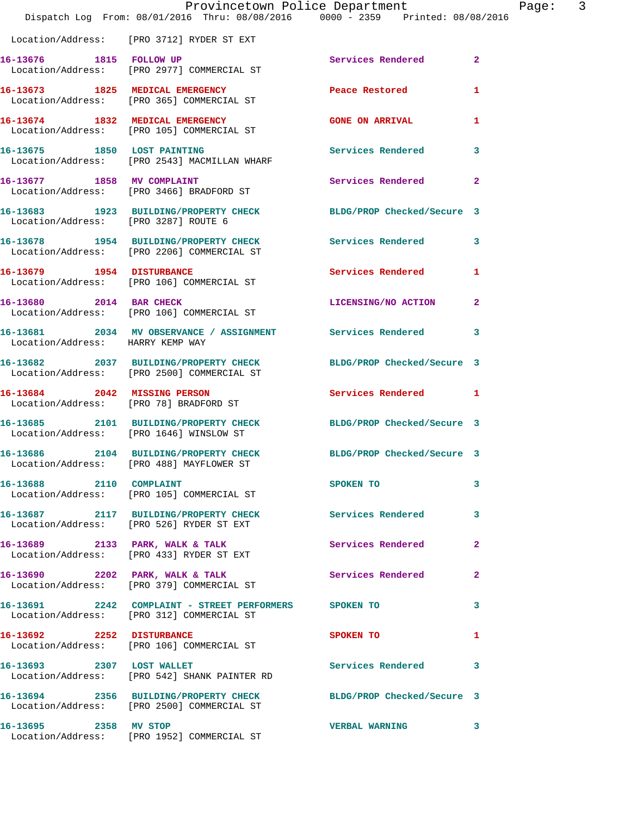|                                      | Dispatch Log From: 08/01/2016 Thru: 08/08/2016 0000 - 2359 Printed: 08/08/2016                                 | Provincetown Police Department | Page: 3      |  |
|--------------------------------------|----------------------------------------------------------------------------------------------------------------|--------------------------------|--------------|--|
|                                      | Location/Address: [PRO 3712] RYDER ST EXT                                                                      |                                |              |  |
|                                      | 16-13676 1815 FOLLOW UP<br>Location/Address: [PRO 2977] COMMERCIAL ST                                          | Services Rendered              | $\mathbf{2}$ |  |
|                                      | 16-13673 1825 MEDICAL EMERGENCY<br>Location/Address: [PRO 365] COMMERCIAL ST                                   | Peace Restored                 | $\mathbf{1}$ |  |
|                                      | 16-13674 1832 MEDICAL EMERGENCY<br>Location/Address: [PRO 105] COMMERCIAL ST                                   | <b>GONE ON ARRIVAL</b>         | 1            |  |
|                                      | 16-13675 1850 LOST PAINTING<br>Location/Address: [PRO 2543] MACMILLAN WHARF                                    | <b>Services Rendered</b>       | $\mathbf{3}$ |  |
|                                      | 16-13677 1858 MV COMPLAINT<br>Location/Address: [PRO 3466] BRADFORD ST                                         | Services Rendered              | $\mathbf{2}$ |  |
| Location/Address: [PRO 3287] ROUTE 6 | 16-13683 1923 BUILDING/PROPERTY CHECK BLDG/PROP Checked/Secure 3                                               |                                |              |  |
|                                      | 16-13678 1954 BUILDING/PROPERTY CHECK Services Rendered 3<br>Location/Address: [PRO 2206] COMMERCIAL ST        |                                |              |  |
|                                      | 16-13679 1954 DISTURBANCE<br>Location/Address: [PRO 106] COMMERCIAL ST                                         | Services Rendered              | 1            |  |
| 16-13680 2014 BAR CHECK              | Location/Address: [PRO 106] COMMERCIAL ST                                                                      | LICENSING/NO ACTION 2          |              |  |
| Location/Address: HARRY KEMP WAY     | 16-13681 2034 MV OBSERVANCE / ASSIGNMENT Services Rendered 3                                                   |                                |              |  |
|                                      | 16-13682 2037 BUILDING/PROPERTY CHECK<br>Location/Address: [PRO 2500] COMMERCIAL ST                            | BLDG/PROP Checked/Secure 3     |              |  |
|                                      | 16-13684 2042 MISSING PERSON<br>Location/Address: [PRO 78] BRADFORD ST                                         | Services Rendered 1            |              |  |
|                                      | 16-13685 2101 BUILDING/PROPERTY CHECK<br>Location/Address: [PRO 1646] WINSLOW ST                               | BLDG/PROP Checked/Secure 3     |              |  |
|                                      | 16-13686 2104 BUILDING/PROPERTY CHECK BLDG/PROP Checked/Secure 3<br>Location/Address: [PRO 488] MAYFLOWER ST   |                                |              |  |
| 16-13688 2110 COMPLAINT              | Location/Address: [PRO 105] COMMERCIAL ST                                                                      | SPOKEN TO                      | 3            |  |
|                                      | 16-13687 2117 BUILDING/PROPERTY CHECK Services Rendered 3<br>Location/Address: [PRO 526] RYDER ST EXT          |                                |              |  |
|                                      | 16-13689 2133 PARK, WALK & TALK<br>Location/Address: [PRO 433] RYDER ST EXT                                    | <b>Services Rendered</b>       | $\mathbf{2}$ |  |
|                                      | 16-13690 2202 PARK, WALK & TALK<br>Location/Address: [PRO 379] COMMERCIAL ST                                   | <b>Services Rendered</b>       | $\mathbf{2}$ |  |
|                                      | 16-13691 2242 COMPLAINT - STREET PERFORMERS SPOKEN TO<br>Location/Address: [PRO 312] COMMERCIAL ST             |                                | 3            |  |
|                                      | 16-13692 2252 DISTURBANCE<br>Location/Address: [PRO 106] COMMERCIAL ST                                         | SPOKEN TO                      | 1            |  |
| 16-13693 2307 LOST WALLET            | Location/Address: [PRO 542] SHANK PAINTER RD                                                                   | Services Rendered 3            |              |  |
|                                      | 16-13694 2356 BUILDING/PROPERTY CHECK BLDG/PROP Checked/Secure 3<br>Location/Address: [PRO 2500] COMMERCIAL ST |                                |              |  |
| 16-13695 2358 MV STOP                | Location/Address: [PRO 1952] COMMERCIAL ST                                                                     | VERBAL WARNING 3               |              |  |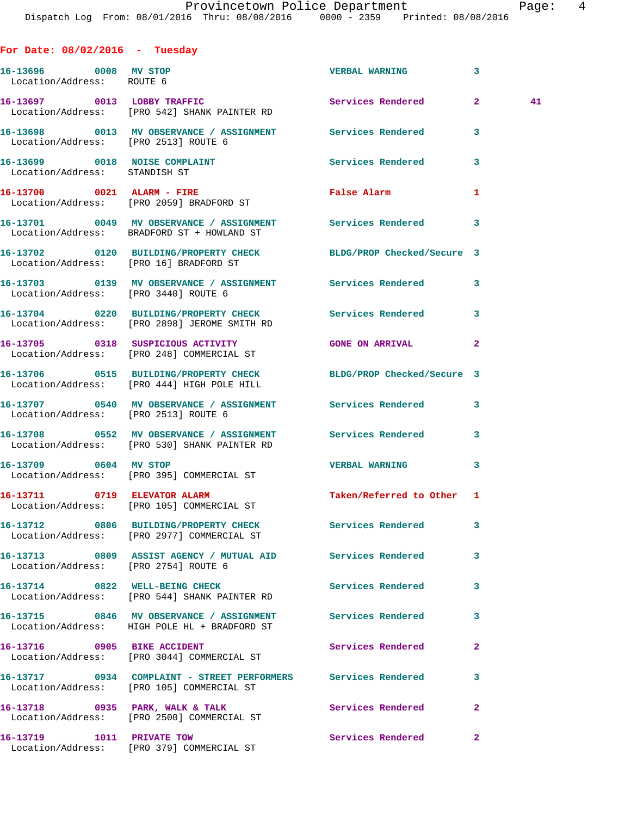| For Date: $08/02/2016$ - Tuesday                               |                                                                                                                |                           |              |  |
|----------------------------------------------------------------|----------------------------------------------------------------------------------------------------------------|---------------------------|--------------|--|
| 16-13696 0008 MV STOP<br>Location/Address: ROUTE 6             |                                                                                                                | <b>VERBAL WARNING</b>     | 3            |  |
|                                                                | 16-13697 0013 LOBBY TRAFFIC<br>Location/Address: [PRO 542] SHANK PAINTER RD                                    | Services Rendered 2       | 41           |  |
| Location/Address: [PRO 2513] ROUTE 6                           | 16-13698 0013 MV OBSERVANCE / ASSIGNMENT Services Rendered                                                     |                           | 3            |  |
| 16-13699 0018 NOISE COMPLAINT<br>Location/Address: STANDISH ST |                                                                                                                | Services Rendered         | 3            |  |
|                                                                | 16-13700 0021 ALARM - FIRE<br>Location/Address: [PRO 2059] BRADFORD ST                                         | <b>False Alarm</b>        | 1            |  |
|                                                                | 16-13701 0049 MV OBSERVANCE / ASSIGNMENT Services Rendered 3<br>Location/Address: BRADFORD ST + HOWLAND ST     |                           |              |  |
|                                                                | 16-13702 0120 BUILDING/PROPERTY CHECK BLDG/PROP Checked/Secure 3<br>Location/Address: [PRO 16] BRADFORD ST     |                           |              |  |
| Location/Address: [PRO 3440] ROUTE 6                           | 16-13703 0139 MV OBSERVANCE / ASSIGNMENT Services Rendered 3                                                   |                           |              |  |
|                                                                | 16-13704 0220 BUILDING/PROPERTY CHECK Services Rendered 3<br>Location/Address: [PRO 2898] JEROME SMITH RD      |                           |              |  |
|                                                                | 16-13705 0318 SUSPICIOUS ACTIVITY<br>Location/Address: [PRO 248] COMMERCIAL ST                                 | <b>GONE ON ARRIVAL</b>    | 2            |  |
|                                                                | 16-13706 0515 BUILDING/PROPERTY CHECK BLDG/PROP Checked/Secure 3<br>Location/Address: [PRO 444] HIGH POLE HILL |                           |              |  |
| Location/Address: [PRO 2513] ROUTE 6                           | 16-13707 0540 MV OBSERVANCE / ASSIGNMENT Services Rendered                                                     |                           | 3            |  |
|                                                                | 16-13708 0552 MV OBSERVANCE / ASSIGNMENT Services Rendered<br>Location/Address: [PRO 530] SHANK PAINTER RD     |                           | 3            |  |
| 16-13709 0604 MV STOP                                          | Location/Address: [PRO 395] COMMERCIAL ST                                                                      | <b>VERBAL WARNING</b>     | 3            |  |
| 16-13711 0719 ELEVATOR ALARM                                   | Location/Address: [PRO 105] COMMERCIAL ST                                                                      | Taken/Referred to Other 1 |              |  |
|                                                                | 16-13712 0806 BUILDING/PROPERTY CHECK Services Rendered<br>Location/Address: [PRO 2977] COMMERCIAL ST          |                           | 3            |  |
| Location/Address: [PRO 2754] ROUTE 6                           | 16-13713 0809 ASSIST AGENCY / MUTUAL AID Services Rendered                                                     |                           | 3            |  |
|                                                                | 16-13714 0822 WELL-BEING CHECK<br>Location/Address: [PRO 544] SHANK PAINTER RD                                 | <b>Services Rendered</b>  | 3            |  |
|                                                                | 16-13715 0846 MV OBSERVANCE / ASSIGNMENT Services Rendered<br>Location/Address: HIGH POLE HL + BRADFORD ST     |                           | 3            |  |
|                                                                | 16-13716 0905 BIKE ACCIDENT<br>Location/Address: [PRO 3044] COMMERCIAL ST                                      | Services Rendered         | $\mathbf{2}$ |  |
|                                                                | 16-13717 0934 COMPLAINT - STREET PERFORMERS Services Rendered<br>Location/Address: [PRO 105] COMMERCIAL ST     |                           | 3            |  |
|                                                                | 16-13718 0935 PARK, WALK & TALK<br>Location/Address: [PRO 2500] COMMERCIAL ST                                  | Services Rendered         | $\mathbf{2}$ |  |
| 16-13719    1011    PRIVATE TOW                                | Location/Address: [PRO 379] COMMERCIAL ST                                                                      | Services Rendered         | $\mathbf{2}$ |  |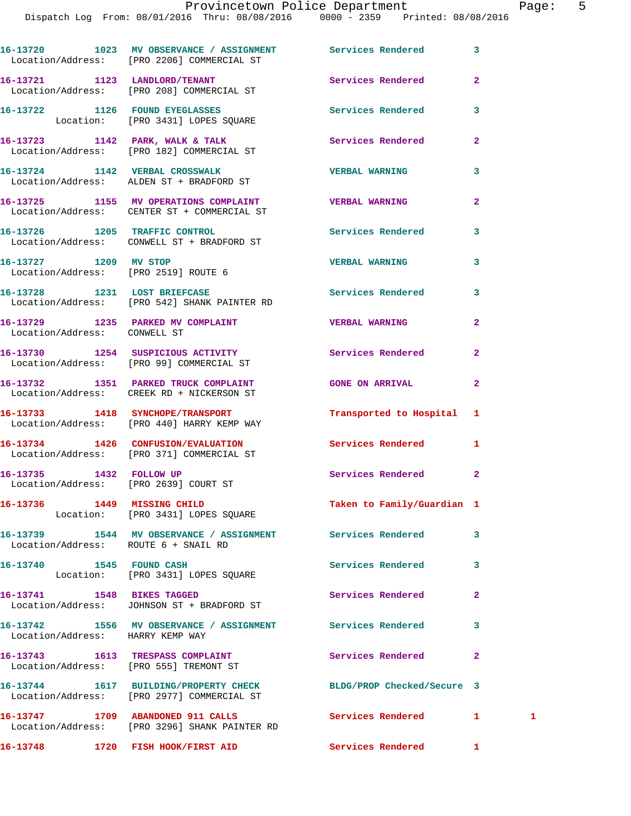|                                                                  | 16-13720 1023 MV OBSERVANCE / ASSIGNMENT Services Rendered<br>Location/Address: [PRO 2206] COMMERCIAL ST       |                            | 3              |   |
|------------------------------------------------------------------|----------------------------------------------------------------------------------------------------------------|----------------------------|----------------|---|
|                                                                  | 16-13721 1123 LANDLORD/TENANT<br>Location/Address: [PRO 208] COMMERCIAL ST                                     | Services Rendered          | $\overline{2}$ |   |
|                                                                  | 16-13722 1126 FOUND EYEGLASSES<br>Location: [PRO 3431] LOPES SQUARE                                            | Services Rendered          | 3              |   |
|                                                                  | 16-13723 1142 PARK, WALK & TALK<br>Location/Address: [PRO 182] COMMERCIAL ST                                   | Services Rendered          | $\overline{2}$ |   |
|                                                                  | 16-13724 1142 VERBAL CROSSWALK<br>Location/Address: ALDEN ST + BRADFORD ST                                     | <b>VERBAL WARNING</b>      | 3              |   |
|                                                                  | 16-13725 1155 MV OPERATIONS COMPLAINT THE VERBAL WARNING<br>Location/Address: CENTER ST + COMMERCIAL ST        |                            | $\overline{a}$ |   |
|                                                                  | 16-13726 1205 TRAFFIC CONTROL<br>Location/Address: CONWELL ST + BRADFORD ST                                    | Services Rendered          | 3              |   |
| 16-13727 1209 MV STOP                                            | Location/Address: [PRO 2519] ROUTE 6                                                                           | <b>VERBAL WARNING</b>      | 3              |   |
|                                                                  | 16-13728 1231 LOST BRIEFCASE<br>Location/Address: [PRO 542] SHANK PAINTER RD                                   | Services Rendered          | 3              |   |
| Location/Address: CONWELL ST                                     | 16-13729 1235 PARKED MV COMPLAINT COMPUSER WARNING                                                             |                            | $\mathbf{2}$   |   |
|                                                                  | 16-13730 1254 SUSPICIOUS ACTIVITY<br>Location/Address: [PRO 99] COMMERCIAL ST                                  | Services Rendered          | $\mathbf{2}$   |   |
|                                                                  | 16-13732 1351 PARKED TRUCK COMPLAINT<br>Location/Address: CREEK RD + NICKERSON ST                              | <b>GONE ON ARRIVAL</b>     | $\mathbf{2}$   |   |
|                                                                  | 16-13733 1418 SYNCHOPE/TRANSPORT<br>Location/Address: [PRO 440] HARRY KEMP WAY                                 | Transported to Hospital 1  |                |   |
|                                                                  | 16-13734 1426 CONFUSION/EVALUATION<br>Location/Address: [PRO 371] COMMERCIAL ST                                | Services Rendered          | $\mathbf{1}$   |   |
| 16-13735 1432 FOLLOW UP<br>Location/Address: [PRO 2639] COURT ST |                                                                                                                | Services Rendered          | $\overline{2}$ |   |
|                                                                  | 16-13736 1449 MISSING CHILD<br>Location: [PRO 3431] LOPES SQUARE                                               | Taken to Family/Guardian 1 |                |   |
| Location/Address: ROUTE 6 + SNAIL RD                             | 16-13739 1544 MV OBSERVANCE / ASSIGNMENT Services Rendered                                                     |                            | 3              |   |
| 16-13740 1545 FOUND CASH                                         | Location: [PRO 3431] LOPES SQUARE                                                                              | Services Rendered          | 3              |   |
|                                                                  | 16-13741 1548 BIKES TAGGED<br>Location/Address: JOHNSON ST + BRADFORD ST                                       | Services Rendered          | $\overline{a}$ |   |
| Location/Address: HARRY KEMP WAY                                 | 16-13742 1556 MV OBSERVANCE / ASSIGNMENT Services Rendered                                                     |                            | 3              |   |
|                                                                  | 16-13743 1613 TRESPASS COMPLAINT<br>Location/Address: [PRO 555] TREMONT ST                                     | Services Rendered          | $\mathbf{2}$   |   |
|                                                                  | 16-13744 1617 BUILDING/PROPERTY CHECK BLDG/PROP Checked/Secure 3<br>Location/Address: [PRO 2977] COMMERCIAL ST |                            |                |   |
|                                                                  | 16-13747 1709 ABANDONED 911 CALLS<br>Location/Address: [PRO 3296] SHANK PAINTER RD                             | Services Rendered          | $1$ and $1$    | 1 |
|                                                                  | 16-13748 1720 FISH HOOK/FIRST AID Services Rendered 1                                                          |                            |                |   |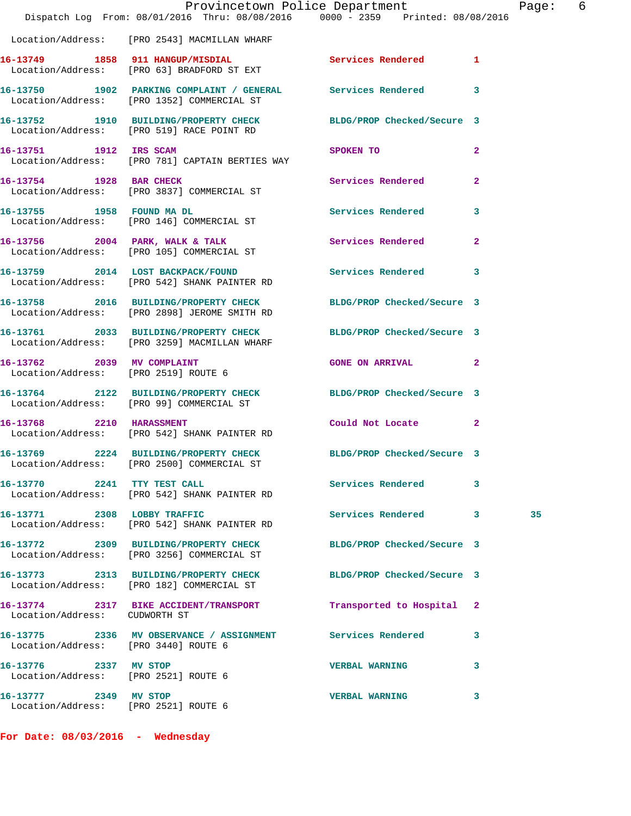|                                                               | Provincetown Police Department<br>Dispatch Log From: 08/01/2016 Thru: 08/08/2016 0000 - 2359 Printed: 08/08/2016 |                                                                                                                |                | Page: 6 |  |
|---------------------------------------------------------------|------------------------------------------------------------------------------------------------------------------|----------------------------------------------------------------------------------------------------------------|----------------|---------|--|
|                                                               | Location/Address: [PRO 2543] MACMILLAN WHARF                                                                     |                                                                                                                |                |         |  |
|                                                               | 16-13749 1858 911 HANGUP/MISDIAL Services Rendered 1<br>Location/Address: [PRO 63] BRADFORD ST EXT               |                                                                                                                |                |         |  |
|                                                               | 16-13750 1902 PARKING COMPLAINT / GENERAL Services Rendered 3<br>Location/Address: [PRO 1352] COMMERCIAL ST      |                                                                                                                |                |         |  |
|                                                               | 16-13752 1910 BUILDING/PROPERTY CHECK BLDG/PROP Checked/Secure 3<br>Location/Address: [PRO 519] RACE POINT RD    |                                                                                                                |                |         |  |
| 16-13751 1912 IRS SCAM                                        | Location/Address: [PRO 781] CAPTAIN BERTIES WAY                                                                  | SPOKEN TO THE STATE OF THE STATE OF THE STATE OF THE STATE OF THE STATE OF THE STATE OF THE STATE OF THE STATE | $\overline{2}$ |         |  |
|                                                               | 16-13754 1928 BAR CHECK<br>Location/Address: [PRO 3837] COMMERCIAL ST                                            | Services Rendered                                                                                              | $\mathbf{2}$   |         |  |
|                                                               | 16-13755 1958 FOUND MADL<br>Location/Address: [PRO 146] COMMERCIAL ST                                            | Services Rendered 3                                                                                            |                |         |  |
|                                                               | 16-13756 2004 PARK, WALK & TALK 3 Services Rendered 2<br>Location/Address: [PRO 105] COMMERCIAL ST               |                                                                                                                |                |         |  |
|                                                               | 16-13759 2014 LOST BACKPACK/FOUND Services Rendered 3<br>Location/Address: [PRO 542] SHANK PAINTER RD            |                                                                                                                |                |         |  |
|                                                               | 16-13758 2016 BUILDING/PROPERTY CHECK BLDG/PROP Checked/Secure 3<br>Location/Address: [PRO 2898] JEROME SMITH RD |                                                                                                                |                |         |  |
|                                                               | 16-13761 2033 BUILDING/PROPERTY CHECK BLDG/PROP Checked/Secure 3<br>Location/Address: [PRO 3259] MACMILLAN WHARF |                                                                                                                |                |         |  |
| 16-13762 2039 MV COMPLAINT                                    | Location/Address: [PRO 2519] ROUTE 6                                                                             | GONE ON ARRIVAL 2                                                                                              |                |         |  |
|                                                               | 16-13764 2122 BUILDING/PROPERTY CHECK BLDG/PROP Checked/Secure 3<br>Location/Address: [PRO 99] COMMERCIAL ST     |                                                                                                                |                |         |  |
| 16-13768 2210 HARASSMENT                                      | Location/Address: [PRO 542] SHANK PAINTER RD                                                                     | Could Not Locate 2                                                                                             |                |         |  |
|                                                               | 16-13769 2224 BUILDING/PROPERTY CHECK BLDG/PROP Checked/Secure 3<br>Location/Address: [PRO 2500] COMMERCIAL ST   |                                                                                                                |                |         |  |
| 16-13770 2241 TTY TEST CALL                                   | Location/Address: [PRO 542] SHANK PAINTER RD                                                                     | <b>Services Rendered</b>                                                                                       | 3              |         |  |
|                                                               | 16-13771 2308 LOBBY TRAFFIC<br>Location/Address: [PRO 542] SHANK PAINTER RD                                      | Services Rendered 3                                                                                            |                | 35      |  |
|                                                               | 16-13772 2309 BUILDING/PROPERTY CHECK<br>Location/Address: [PRO 3256] COMMERCIAL ST                              | BLDG/PROP Checked/Secure 3                                                                                     |                |         |  |
|                                                               | 16-13773 2313 BUILDING/PROPERTY CHECK<br>Location/Address: [PRO 182] COMMERCIAL ST                               | BLDG/PROP Checked/Secure 3                                                                                     |                |         |  |
| Location/Address: CUDWORTH ST                                 | 16-13774 2317 BIKE ACCIDENT/TRANSPORT                                                                            | Transported to Hospital 2                                                                                      |                |         |  |
| Location/Address: [PRO 3440] ROUTE 6                          | 16-13775 2336 MV OBSERVANCE / ASSIGNMENT Services Rendered                                                       |                                                                                                                | 3              |         |  |
| 16-13776 2337 MV STOP<br>Location/Address: [PRO 2521] ROUTE 6 |                                                                                                                  | <b>VERBAL WARNING</b>                                                                                          | 3              |         |  |
| 16-13777 2349 MV STOP<br>Location/Address: [PRO 2521] ROUTE 6 |                                                                                                                  | <b>VERBAL WARNING</b>                                                                                          | 3              |         |  |

**For Date: 08/03/2016 - Wednesday**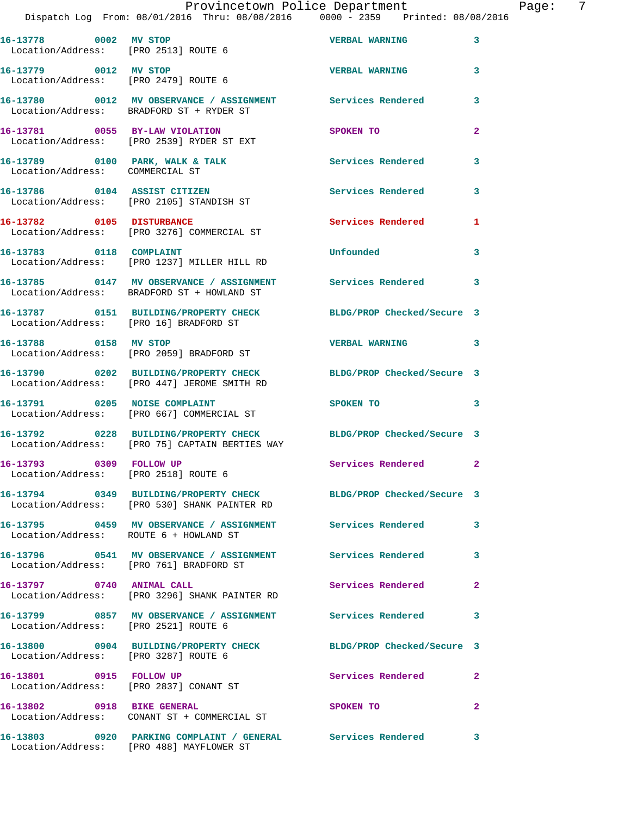| 16-13778 0002 MV STOP                                              |                                                                                                         | <b>VERBAL WARNING</b>      | 3                       |
|--------------------------------------------------------------------|---------------------------------------------------------------------------------------------------------|----------------------------|-------------------------|
| Location/Address: [PRO 2513] ROUTE 6<br>16-13779 0012 MV STOP      |                                                                                                         |                            |                         |
| Location/Address: [PRO 2479] ROUTE 6                               |                                                                                                         | <b>VERBAL WARNING</b>      | 3                       |
|                                                                    | 16-13780 0012 MV OBSERVANCE / ASSIGNMENT<br>Location/Address: BRADFORD ST + RYDER ST                    | <b>Services Rendered</b>   | 3                       |
| 16-13781 0055 BY-LAW VIOLATION                                     | Location/Address: [PRO 2539] RYDER ST EXT                                                               | SPOKEN TO                  | $\overline{2}$          |
| 16-13789 0100 PARK, WALK & TALK<br>Location/Address: COMMERCIAL ST |                                                                                                         | Services Rendered          | 3                       |
|                                                                    | 16-13786 0104 ASSIST CITIZEN<br>Location/Address: [PRO 2105] STANDISH ST                                | Services Rendered          | 3                       |
| 16-13782 0105 DISTURBANCE                                          | Location/Address: [PRO 3276] COMMERCIAL ST                                                              | Services Rendered          | 1                       |
| 16-13783 0118 COMPLAINT                                            | Location/Address: [PRO 1237] MILLER HILL RD                                                             | Unfounded                  | 3                       |
|                                                                    | 16-13785 0147 MV OBSERVANCE / ASSIGNMENT<br>Location/Address: BRADFORD ST + HOWLAND ST                  | Services Rendered          | $\overline{\mathbf{3}}$ |
| Location/Address: [PRO 16] BRADFORD ST                             | 16-13787 0151 BUILDING/PROPERTY CHECK                                                                   | BLDG/PROP Checked/Secure 3 |                         |
| 16-13788 0158 MV STOP                                              | Location/Address: [PRO 2059] BRADFORD ST                                                                | VERBAL WARNING 3           |                         |
|                                                                    | 16-13790 0202 BUILDING/PROPERTY CHECK<br>Location/Address: [PRO 447] JEROME SMITH RD                    | BLDG/PROP Checked/Secure 3 |                         |
| 16-13791 0205 NOISE COMPLAINT                                      | Location/Address: [PRO 667] COMMERCIAL ST                                                               | SPOKEN TO                  | 3                       |
|                                                                    | 16-13792 0228 BUILDING/PROPERTY CHECK<br>Location/Address: [PRO 75] CAPTAIN BERTIES WAY                 | BLDG/PROP Checked/Secure 3 |                         |
| 16-13793 0309 FOLLOW UP<br>Location/Address: [PRO 2518] ROUTE 6    |                                                                                                         | Services Rendered 2        |                         |
|                                                                    | 16-13794 0349 BUILDING/PROPERTY CHECK<br>Location/Address: [PRO 530] SHANK PAINTER RD                   | BLDG/PROP Checked/Secure 3 |                         |
| Location/Address: ROUTE 6 + HOWLAND ST                             | 16-13795 0459 MV OBSERVANCE / ASSIGNMENT Services Rendered                                              |                            | 3                       |
|                                                                    | 16-13796 0541 MV OBSERVANCE / ASSIGNMENT Services Rendered<br>Location/Address: [PRO 761] BRADFORD ST   |                            | 3                       |
| 16-13797 0740 ANIMAL CALL                                          | Location/Address: [PRO 3296] SHANK PAINTER RD                                                           | Services Rendered          | $\mathbf{2}$            |
| Location/Address: [PRO 2521] ROUTE 6                               | 16-13799 0857 MV OBSERVANCE / ASSIGNMENT Services Rendered                                              |                            | 3                       |
| Location/Address: [PRO 3287] ROUTE 6                               | 16-13800 0904 BUILDING/PROPERTY CHECK                                                                   | BLDG/PROP Checked/Secure 3 |                         |
| 16-13801 0915 FOLLOW UP<br>Location/Address: [PRO 2837] CONANT ST  |                                                                                                         | Services Rendered          | $\mathbf{2}$            |
| 16-13802 0918 BIKE GENERAL                                         | Location/Address: CONANT ST + COMMERCIAL ST                                                             | SPOKEN TO                  | $\overline{2}$          |
|                                                                    | 16-13803 0920 PARKING COMPLAINT / GENERAL Services Rendered<br>Location/Address: [PRO 488] MAYFLOWER ST |                            | 3                       |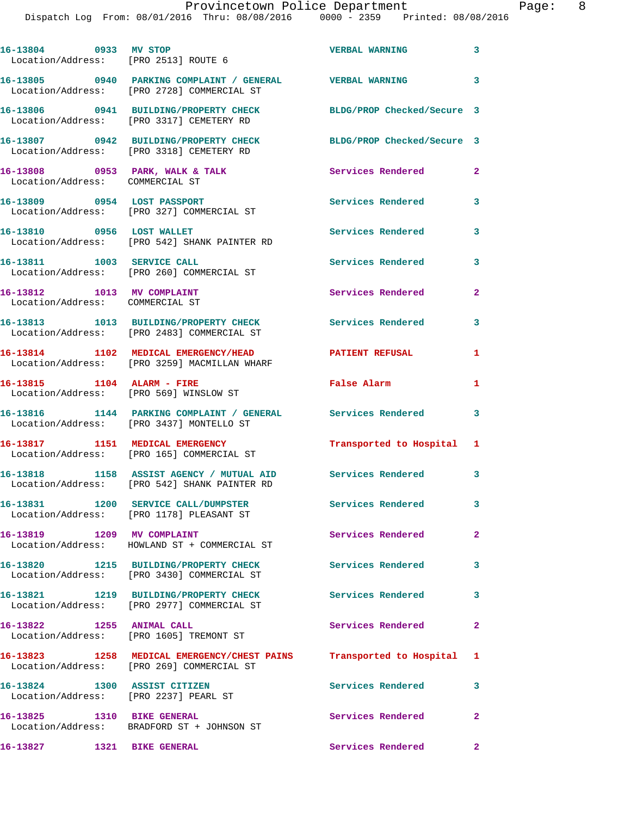Dispatch Log From: 08/01/2016 Thru: 08/08/2016 0000 - 2359 Printed: 08/08/2016

| 16-13804 0933 MV STOP                                                 | Location/Address: [PRO 2513] ROUTE 6                                                                             | <b>VERBAL WARNING</b>      | 3                       |
|-----------------------------------------------------------------------|------------------------------------------------------------------------------------------------------------------|----------------------------|-------------------------|
|                                                                       | 16-13805 0940 PARKING COMPLAINT / GENERAL WERBAL WARNING<br>Location/Address: [PRO 2728] COMMERCIAL ST           |                            | 3                       |
|                                                                       | 16-13806 0941 BUILDING/PROPERTY CHECK<br>Location/Address: [PRO 3317] CEMETERY RD                                | BLDG/PROP Checked/Secure 3 |                         |
|                                                                       | 16-13807 0942 BUILDING/PROPERTY CHECK<br>Location/Address: [PRO 3318] CEMETERY RD                                | BLDG/PROP Checked/Secure 3 |                         |
| Location/Address: COMMERCIAL ST                                       | 16-13808 0953 PARK, WALK & TALK                                                                                  | Services Rendered          | $\mathbf{2}$            |
|                                                                       | 16-13809 0954 LOST PASSPORT<br>Location/Address: [PRO 327] COMMERCIAL ST                                         | <b>Services Rendered</b>   | 3                       |
| 16-13810 0956 LOST WALLET                                             | Location/Address: [PRO 542] SHANK PAINTER RD                                                                     | Services Rendered          | 3                       |
|                                                                       | 16-13811 1003 SERVICE CALL<br>Location/Address: [PRO 260] COMMERCIAL ST                                          | <b>Services Rendered</b>   | 3                       |
| 16-13812 1013 MV COMPLAINT<br>Location/Address: COMMERCIAL ST         |                                                                                                                  | Services Rendered          | $\mathbf{2}$            |
|                                                                       | 16-13813 1013 BUILDING/PROPERTY CHECK<br>Location/Address: [PRO 2483] COMMERCIAL ST                              | <b>Services Rendered</b>   | 3                       |
|                                                                       | 16-13814 1102 MEDICAL EMERGENCY/HEAD<br>Location/Address: [PRO 3259] MACMILLAN WHARF                             | <b>PATIENT REFUSAL</b>     | 1                       |
| 16-13815 1104 ALARM - FIRE                                            | Location/Address: [PRO 569] WINSLOW ST                                                                           | <b>False Alarm</b>         | 1                       |
|                                                                       | 16-13816 1144 PARKING COMPLAINT / GENERAL Services Rendered<br>Location/Address: [PRO 3437] MONTELLO ST          |                            | 3                       |
|                                                                       | 16-13817 1151 MEDICAL EMERGENCY<br>Location/Address: [PRO 165] COMMERCIAL ST                                     | Transported to Hospital 1  |                         |
|                                                                       | 16-13818 1158 ASSIST_AGENCY / MUTUAL_AID Services_Rendered<br>Location/Address: [PRO 542] SHANK PAINTER RD       |                            | 3                       |
|                                                                       | 16-13831 1200 SERVICE CALL/DUMPSTER<br>Location/Address: [PRO 1178] PLEASANT ST                                  | Services Rendered          | 3                       |
| 16-13819 1209 MV COMPLAINT                                            | Location/Address: HOWLAND ST + COMMERCIAL ST                                                                     | <b>Services Rendered</b>   | $\overline{2}$          |
|                                                                       | 16-13820 1215 BUILDING/PROPERTY CHECK<br>Location/Address: [PRO 3430] COMMERCIAL ST                              | <b>Services Rendered</b>   | 3                       |
|                                                                       | 16-13821 1219 BUILDING/PROPERTY CHECK<br>Location/Address: [PRO 2977] COMMERCIAL ST                              | Services Rendered          | 3                       |
|                                                                       | 16-13822 1255 ANIMAL CALL<br>Location/Address: [PRO 1605] TREMONT ST                                             | Services Rendered          | $\mathbf{2}$            |
|                                                                       | 16-13823 1258 MEDICAL EMERGENCY/CHEST PAINS Transported to Hospital<br>Location/Address: [PRO 269] COMMERCIAL ST |                            | $\mathbf{1}$            |
| 16-13824 1300 ASSIST CITIZEN<br>Location/Address: [PRO 2237] PEARL ST |                                                                                                                  | Services Rendered          | 3                       |
| 16-13825 1310 BIKE GENERAL                                            | Location/Address: BRADFORD ST + JOHNSON ST                                                                       | Services Rendered          | $\mathbf{2}$            |
| 16-13827 1321 BIKE GENERAL                                            |                                                                                                                  | <b>Services Rendered</b>   | $\overline{\mathbf{2}}$ |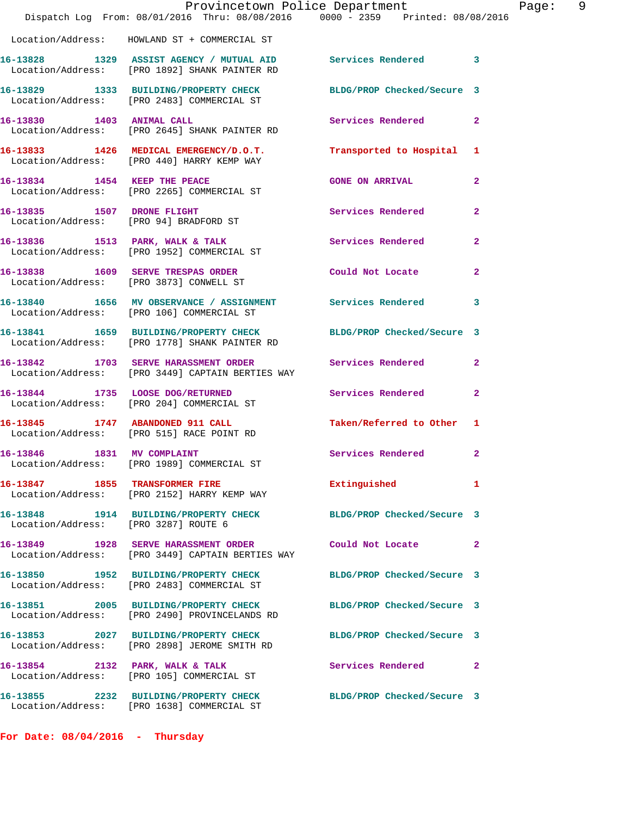|                                      | Provincetown Police Department<br>Dispatch Log From: 08/01/2016 Thru: 08/08/2016 0000 - 2359 Printed: 08/08/2016 |                            |                |
|--------------------------------------|------------------------------------------------------------------------------------------------------------------|----------------------------|----------------|
|                                      | Location/Address: HOWLAND ST + COMMERCIAL ST                                                                     |                            |                |
|                                      | 16-13828 1329 ASSIST AGENCY / MUTUAL AID Services Rendered 3<br>Location/Address: [PRO 1892] SHANK PAINTER RD    |                            |                |
|                                      | 16-13829 1333 BUILDING/PROPERTY CHECK BLDG/PROP Checked/Secure 3<br>Location/Address: [PRO 2483] COMMERCIAL ST   |                            |                |
| 16-13830 1403 ANIMAL CALL            | Location/Address: [PRO 2645] SHANK PAINTER RD                                                                    | Services Rendered          | $\mathbf{2}$   |
|                                      | 16-13833 1426 MEDICAL EMERGENCY/D.O.T.<br>Location/Address: [PRO 440] HARRY KEMP WAY                             | Transported to Hospital    | 1              |
| 16-13834 1454 KEEP THE PEACE         | Location/Address: [PRO 2265] COMMERCIAL ST                                                                       | <b>GONE ON ARRIVAL</b>     | $\mathbf{2}$   |
|                                      | 16-13835 1507 DRONE FLIGHT<br>Location/Address: [PRO 94] BRADFORD ST                                             | <b>Services Rendered</b>   | $\overline{2}$ |
|                                      | 16-13836 1513 PARK, WALK & TALK<br>Location/Address: [PRO 1952] COMMERCIAL ST                                    | <b>Services Rendered</b>   | $\mathbf{2}$   |
|                                      | 16-13838 1609 SERVE TRESPAS ORDER<br>Location/Address: [PRO 3873] CONWELL ST                                     | Could Not Locate           | $\mathbf{2}$   |
|                                      | 16-13840 1656 MV OBSERVANCE / ASSIGNMENT Services Rendered<br>Location/Address: [PRO 106] COMMERCIAL ST          |                            | 3              |
|                                      | 16-13841 1659 BUILDING/PROPERTY CHECK<br>Location/Address: [PRO 1778] SHANK PAINTER RD                           | BLDG/PROP Checked/Secure 3 |                |
|                                      | 16-13842 1703 SERVE HARASSMENT ORDER<br>Location/Address: [PRO 3449] CAPTAIN BERTIES WAY                         | <b>Services Rendered</b>   | $\mathbf{2}$   |
|                                      | 16-13844 1735 LOOSE DOG/RETURNED<br>Location/Address: [PRO 204] COMMERCIAL ST                                    | Services Rendered          | $\overline{2}$ |
|                                      | 16-13845 1747 ABANDONED 911 CALL<br>Location/Address: [PRO 515] RACE POINT RD                                    | Taken/Referred to Other    | 1              |
| 16-13846 1831 MV COMPLAINT           | Location/Address: [PRO 1989] COMMERCIAL ST                                                                       | Services Rendered 2        |                |
|                                      | 16-13847 1855 TRANSFORMER FIRE<br>Location/Address: [PRO 2152] HARRY KEMP WAY                                    | Extinguished               | 1              |
| Location/Address: [PRO 3287] ROUTE 6 | 16-13848 1914 BUILDING/PROPERTY CHECK                                                                            | BLDG/PROP Checked/Secure 3 |                |
|                                      | 16-13849 1928 SERVE HARASSMENT ORDER<br>Location/Address: [PRO 3449] CAPTAIN BERTIES WAY                         | Could Not Locate           | $\overline{2}$ |
|                                      | 16-13850 1952 BUILDING/PROPERTY CHECK<br>Location/Address: [PRO 2483] COMMERCIAL ST                              | BLDG/PROP Checked/Secure 3 |                |
|                                      | 16-13851 2005 BUILDING/PROPERTY CHECK<br>Location/Address: [PRO 2490] PROVINCELANDS RD                           | BLDG/PROP Checked/Secure 3 |                |
|                                      | 16-13853 2027 BUILDING/PROPERTY CHECK<br>Location/Address: [PRO 2898] JEROME SMITH RD                            | BLDG/PROP Checked/Secure 3 |                |
|                                      | 16-13854 2132 PARK, WALK & TALK<br>Location/Address: [PRO 105] COMMERCIAL ST                                     | Services Rendered          | $\mathbf{2}$   |
|                                      | 16-13855 2232 BUILDING/PROPERTY CHECK<br>Location/Address: [PRO 1638] COMMERCIAL ST                              | BLDG/PROP Checked/Secure 3 |                |

**For Date: 08/04/2016 - Thursday**

Page: 9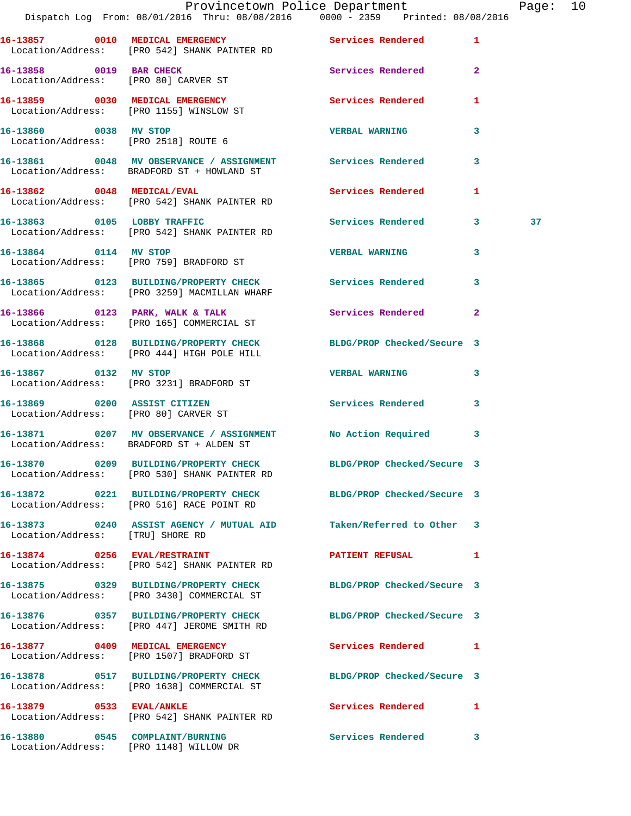|                                  | Dispatch Log From: 08/01/2016 Thru: 08/08/2016   0000 - 2359   Printed: 08/08/2016                             | Provincetown Police Department |              | Page: 10 |  |
|----------------------------------|----------------------------------------------------------------------------------------------------------------|--------------------------------|--------------|----------|--|
|                                  | 16-13857 0010 MEDICAL EMERGENCY Services Rendered 1<br>Location/Address: [PRO 542] SHANK PAINTER RD            |                                |              |          |  |
|                                  | 16-13858 0019 BAR CHECK<br>Location/Address: [PRO 80] CARVER ST                                                | Services Rendered 2            |              |          |  |
|                                  | 16-13859 0030 MEDICAL EMERGENCY<br>Location/Address: [PRO 1155] WINSLOW ST                                     | Services Rendered              | 1            |          |  |
|                                  | 16-13860 0038 MV STOP<br>Location/Address: [PRO 2518] ROUTE 6                                                  | <b>VERBAL WARNING</b>          | $\mathbf{3}$ |          |  |
|                                  | 16-13861 0048 MV OBSERVANCE / ASSIGNMENT Services Rendered 3<br>Location/Address: BRADFORD ST + HOWLAND ST     |                                |              |          |  |
|                                  | 16-13862 0048 MEDICAL/EVAL<br>Location/Address: [PRO 542] SHANK PAINTER RD                                     | Services Rendered              | $\mathbf{1}$ |          |  |
|                                  | 16-13863 0105 LOBBY TRAFFIC<br>Location/Address: [PRO 542] SHANK PAINTER RD                                    | Services Rendered 3            |              | 37       |  |
|                                  | 16-13864 0114 MV STOP<br>Location/Address: [PRO 759] BRADFORD ST                                               | <b>VERBAL WARNING</b>          | 3            |          |  |
|                                  | 16-13865 0123 BUILDING/PROPERTY CHECK Services Rendered 3<br>Location/Address: [PRO 3259] MACMILLAN WHARF      |                                |              |          |  |
|                                  | 16-13866 0123 PARK, WALK & TALK Services Rendered<br>Location/Address: [PRO 165] COMMERCIAL ST                 |                                | $\mathbf{2}$ |          |  |
|                                  | 16-13868 0128 BUILDING/PROPERTY CHECK BLDG/PROP Checked/Secure 3<br>Location/Address: [PRO 444] HIGH POLE HILL |                                |              |          |  |
|                                  | 16-13867 0132 MV STOP<br>Location/Address: [PRO 3231] BRADFORD ST                                              | <b>VERBAL WARNING</b>          | 3            |          |  |
|                                  | 16-13869 0200 ASSIST CITIZEN<br>Location/Address: [PRO 80] CARVER ST                                           | Services Rendered 3            |              |          |  |
|                                  | 16-13871 0207 MV OBSERVANCE / ASSIGNMENT No Action Required 3<br>Location/Address: BRADFORD ST + ALDEN ST      |                                |              |          |  |
|                                  | 16-13870 0209 BUILDING/PROPERTY CHECK<br>Location/Address: [PRO 530] SHANK PAINTER RD                          | BLDG/PROP Checked/Secure 3     |              |          |  |
|                                  | 16-13872 0221 BUILDING/PROPERTY CHECK BLDG/PROP Checked/Secure 3<br>Location/Address: [PRO 516] RACE POINT RD  |                                |              |          |  |
| Location/Address: [TRU] SHORE RD | 16-13873 0240 ASSIST AGENCY / MUTUAL AID Taken/Referred to Other 3                                             |                                |              |          |  |
|                                  | 16-13874 0256 EVAL/RESTRAINT<br>Location/Address: [PRO 542] SHANK PAINTER RD                                   | <b>PATIENT REFUSAL</b>         | 1            |          |  |
|                                  | 16-13875 0329 BUILDING/PROPERTY CHECK BLDG/PROP Checked/Secure 3<br>Location/Address: [PRO 3430] COMMERCIAL ST |                                |              |          |  |
|                                  | 16-13876 0357 BUILDING/PROPERTY CHECK<br>Location/Address: [PRO 447] JEROME SMITH RD                           | BLDG/PROP Checked/Secure 3     |              |          |  |
|                                  | 16-13877 0409 MEDICAL EMERGENCY<br>Location/Address: [PRO 1507] BRADFORD ST                                    | Services Rendered 1            |              |          |  |
|                                  | 16-13878 0517 BUILDING/PROPERTY CHECK<br>Location/Address: [PRO 1638] COMMERCIAL ST                            | BLDG/PROP Checked/Secure 3     |              |          |  |
| 16-13879 0533 EVAL/ANKLE         | Location/Address: [PRO 542] SHANK PAINTER RD                                                                   | Services Rendered              | 1            |          |  |
|                                  | 16-13880 0545 COMPLAINT/BURNING<br>Location/Address: [PRO 1148] WILLOW DR                                      | Services Rendered              | -3           |          |  |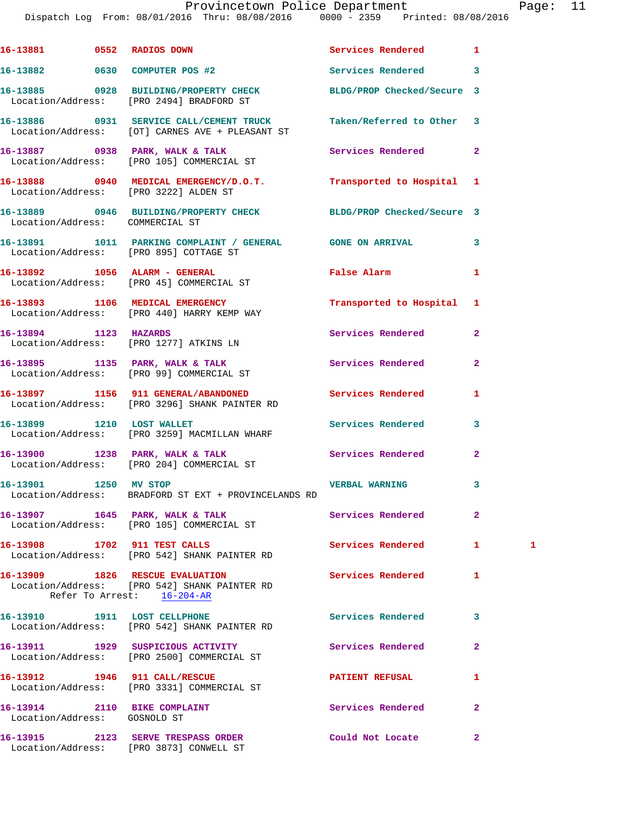## Provincetown Police Department Page: 11

Dispatch Log From: 08/01/2016 Thru: 08/08/2016 0000 - 2359 Printed: 08/08/2016

|                              | 16-13881 0552 RADIOS DOWN                                                                                     | Services Rendered          | 1              |   |
|------------------------------|---------------------------------------------------------------------------------------------------------------|----------------------------|----------------|---|
|                              | 16-13882 0630 COMPUTER POS #2                                                                                 | Services Rendered          | 3              |   |
|                              | 16-13885 0928 BUILDING/PROPERTY CHECK<br>Location/Address: [PRO 2494] BRADFORD ST                             | BLDG/PROP Checked/Secure 3 |                |   |
|                              | 16-13886 0931 SERVICE CALL/CEMENT TRUCK<br>Location/Address: [OT] CARNES AVE + PLEASANT ST                    | Taken/Referred to Other    | 3              |   |
|                              | 16-13887 0938 PARK, WALK & TALK<br>Location/Address: [PRO 105] COMMERCIAL ST                                  | Services Rendered          | $\mathbf{2}$   |   |
|                              | 16-13888 0940 MEDICAL EMERGENCY/D.O.T.<br>Location/Address: [PRO 3222] ALDEN ST                               | Transported to Hospital    | 1              |   |
|                              | 16-13889 0946 BUILDING/PROPERTY CHECK BLDG/PROP Checked/Secure 3<br>Location/Address: COMMERCIAL ST           |                            |                |   |
|                              | 16-13891 1011 PARKING COMPLAINT / GENERAL GONE ON ARRIVAL<br>Location/Address: [PRO 895] COTTAGE ST           |                            | 3              |   |
|                              | 16-13892 1056 ALARM - GENERAL<br>Location/Address: [PRO 45] COMMERCIAL ST                                     | False Alarm                | 1              |   |
|                              | 16-13893 1106 MEDICAL EMERGENCY<br>Location/Address: [PRO 440] HARRY KEMP WAY                                 | Transported to Hospital    | 1              |   |
| 16-13894 1123 HAZARDS        | Location/Address: [PRO 1277] ATKINS LN                                                                        | Services Rendered          | $\overline{a}$ |   |
|                              | 16-13895 1135 PARK, WALK & TALK<br>Location/Address: [PRO 99] COMMERCIAL ST                                   | Services Rendered          | $\mathbf{2}$   |   |
|                              | 16-13897 1156 911 GENERAL/ABANDONED<br>Location/Address: [PRO 3296] SHANK PAINTER RD                          | Services Rendered          | 1              |   |
|                              | 16-13899 1210 LOST WALLET<br>Location/Address: [PRO 3259] MACMILLAN WHARF                                     | <b>Services Rendered</b>   | 3              |   |
|                              | 16-13900 1238 PARK, WALK & TALK<br>Location/Address: [PRO 204] COMMERCIAL ST                                  | Services Rendered          | $\mathbf{2}$   |   |
| 16-13901 1250 MV STOP        | Location/Address: BRADFORD ST EXT + PROVINCELANDS RD                                                          | <b>VERBAL WARNING</b>      | 3              |   |
|                              | 16-13907 1645 PARK, WALK & TALK<br>Location/Address: [PRO 105] COMMERCIAL ST                                  | Services Rendered          | $\overline{a}$ |   |
|                              | 16-13908 1702 911 TEST CALLS<br>Location/Address: [PRO 542] SHANK PAINTER RD                                  | <b>Services Rendered</b>   | 1.             | 1 |
|                              | 16-13909 1826 RESCUE EVALUATION<br>Location/Address: [PRO 542] SHANK PAINTER RD<br>Refer To Arrest: 16-204-AR | Services Rendered          | 1              |   |
|                              | 16-13910 1911 LOST CELLPHONE<br>Location/Address: [PRO 542] SHANK PAINTER RD                                  | <b>Services Rendered</b>   | 3              |   |
|                              | 16-13911 1929 SUSPICIOUS ACTIVITY<br>Location/Address: [PRO 2500] COMMERCIAL ST                               | Services Rendered          | 2              |   |
|                              | 16-13912 1946 911 CALL/RESCUE<br>Location/Address: [PRO 3331] COMMERCIAL ST                                   | PATIENT REFUSAL            | 1              |   |
| Location/Address: GOSNOLD ST | 16-13914 2110 BIKE COMPLAINT                                                                                  | Services Rendered          | $\overline{a}$ |   |
|                              | 16-13915 2123 SERVE TRESPASS ORDER<br>Location/Address: [PRO 3873] CONWELL ST                                 | Could Not Locate           | $\mathbf{2}$   |   |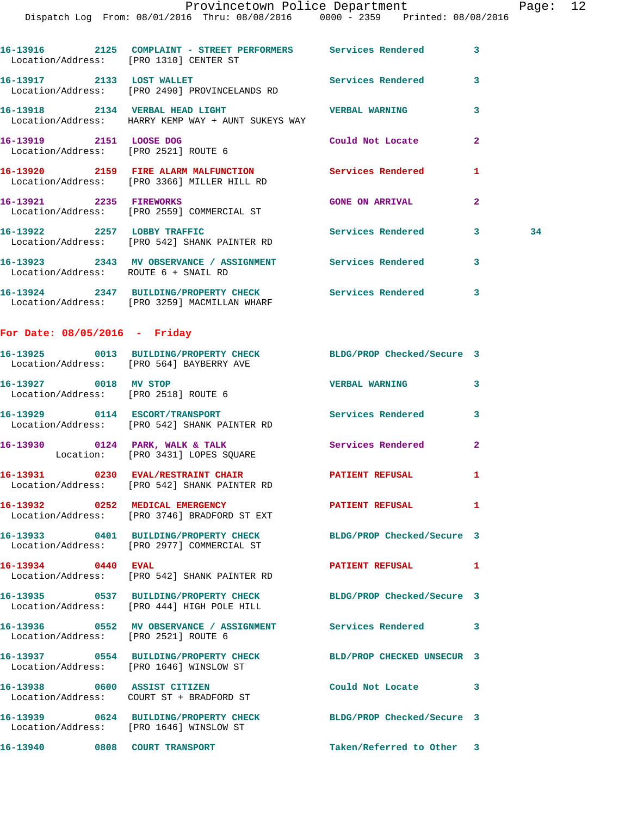Dispatch Log From: 08/01/2016 Thru: 08/08/2016 0000 - 2359 Printed: 08/08/2016

| Location/Address: [PRO 1310] CENTER ST                          |                                                                                                       |                                       | $\overline{\mathbf{3}}$ |    |
|-----------------------------------------------------------------|-------------------------------------------------------------------------------------------------------|---------------------------------------|-------------------------|----|
| 16-13917 2133 LOST WALLET                                       | Location/Address: [PRO 2490] PROVINCELANDS RD                                                         | <b>Example 2018</b> Services Rendered | $\overline{\mathbf{3}}$ |    |
|                                                                 | 16-13918 2134 VERBAL HEAD LIGHT<br>Location/Address: HARRY KEMP WAY + AUNT SUKEYS WAY                 | <b>VERBAL WARNING</b>                 | $\overline{\mathbf{3}}$ |    |
| 16-13919 2151 LOOSE DOG<br>Location/Address: [PRO 2521] ROUTE 6 |                                                                                                       | Could Not Locate                      | $\overline{2}$          |    |
|                                                                 | 16-13920 2159 FIRE ALARM MALFUNCTION Services Rendered<br>Location/Address: [PRO 3366] MILLER HILL RD |                                       | 1                       |    |
| 16-13921 2235 FIREWORKS                                         | Location/Address: [PRO 2559] COMMERCIAL ST                                                            | <b>GONE ON ARRIVAL</b>                | $\overline{2}$          |    |
| 16-13922 2257 LOBBY TRAFFIC                                     | Location/Address: [PRO 542] SHANK PAINTER RD                                                          | <b>Services Rendered</b>              | 3                       | 34 |
| Location/Address: ROUTE 6 + SNAIL RD                            | 16-13923 2343 MV OBSERVANCE / ASSIGNMENT Services Rendered                                            |                                       | 3                       |    |

**16-13924 2347 BUILDING/PROPERTY CHECK Services Rendered 3**  Location/Address: [PRO 3259] MACMILLAN WHARF

## **For Date: 08/05/2016 - Friday**

|                                                               | 16-13925 0013 BUILDING/PROPERTY CHECK<br>Location/Address: [PRO 564] BAYBERRY AVE                           | BLDG/PROP Checked/Secure 3 |                |
|---------------------------------------------------------------|-------------------------------------------------------------------------------------------------------------|----------------------------|----------------|
| 16-13927 0018 MV STOP<br>Location/Address: [PRO 2518] ROUTE 6 |                                                                                                             | <b>VERBAL WARNING</b>      | $\mathbf{3}$   |
|                                                               | 16-13929 0114 ESCORT/TRANSPORT<br>Location/Address: [PRO 542] SHANK PAINTER RD                              | <b>Services Rendered</b>   | $\mathbf{3}$   |
|                                                               | 16-13930 0124 PARK, WALK & TALK<br>Location: [PRO 3431] LOPES SQUARE                                        | Services Rendered          | $\overline{2}$ |
|                                                               | 16-13931 0230 EVAL/RESTRAINT CHAIR<br>Location/Address: [PRO 542] SHANK PAINTER RD                          | <b>PATIENT REFUSAL</b>     | $\mathbf{1}$   |
|                                                               | 16-13932 0252 MEDICAL EMERGENCY<br>Location/Address: [PRO 3746] BRADFORD ST EXT                             | <b>PATIENT REFUSAL</b>     | $\mathbf{1}$   |
|                                                               | 16-13933 0401 BUILDING/PROPERTY CHECK<br>Location/Address: [PRO 2977] COMMERCIAL ST                         | BLDG/PROP Checked/Secure 3 |                |
| 16-13934 0440 EVAL                                            | Location/Address: [PRO 542] SHANK PAINTER RD                                                                | <b>PATIENT REFUSAL</b>     | $\mathbf{1}$   |
|                                                               | 16-13935 0537 BUILDING/PROPERTY CHECK<br>Location/Address: [PRO 444] HIGH POLE HILL                         | BLDG/PROP Checked/Secure 3 |                |
| Location/Address: [PRO 2521] ROUTE 6                          | 16-13936 0552 MV OBSERVANCE / ASSIGNMENT Services Rendered 3                                                |                            |                |
|                                                               | 16-13937 0554 BUILDING/PROPERTY CHECK BLD/PROP CHECKED UNSECUR 3<br>Location/Address: [PRO 1646] WINSLOW ST |                            |                |
| 16-13938 0600 ASSIST CITIZEN                                  | Location/Address: COURT ST + BRADFORD ST                                                                    | Could Not Locate 3         |                |
|                                                               | 16-13939 0624 BUILDING/PROPERTY CHECK<br>Location/Address: [PRO 1646] WINSLOW ST                            | BLDG/PROP Checked/Secure 3 |                |
| 16-13940 0808 COURT TRANSPORT                                 |                                                                                                             | Taken/Referred to Other 3  |                |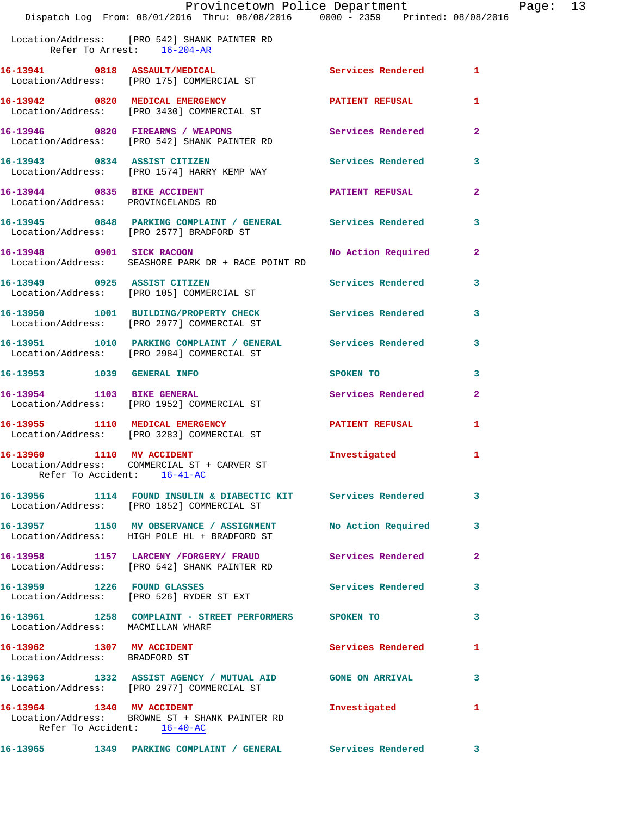|                                                                                                                                                                                                                                                                                                                                                                                                                                                                                                                                                                                                                                                                                                                                                                                                                                                                                                                                                                                                                                                                                                                                                                                                                                                                                                                                                                                                                                                                                                                                                                                                    | 1                                                                                                                                                                                                                                                                                                                                                                                                                                                                                                                                                                                                                                                                                                                                                                                                                                                                                     |
|----------------------------------------------------------------------------------------------------------------------------------------------------------------------------------------------------------------------------------------------------------------------------------------------------------------------------------------------------------------------------------------------------------------------------------------------------------------------------------------------------------------------------------------------------------------------------------------------------------------------------------------------------------------------------------------------------------------------------------------------------------------------------------------------------------------------------------------------------------------------------------------------------------------------------------------------------------------------------------------------------------------------------------------------------------------------------------------------------------------------------------------------------------------------------------------------------------------------------------------------------------------------------------------------------------------------------------------------------------------------------------------------------------------------------------------------------------------------------------------------------------------------------------------------------------------------------------------------------|---------------------------------------------------------------------------------------------------------------------------------------------------------------------------------------------------------------------------------------------------------------------------------------------------------------------------------------------------------------------------------------------------------------------------------------------------------------------------------------------------------------------------------------------------------------------------------------------------------------------------------------------------------------------------------------------------------------------------------------------------------------------------------------------------------------------------------------------------------------------------------------|
|                                                                                                                                                                                                                                                                                                                                                                                                                                                                                                                                                                                                                                                                                                                                                                                                                                                                                                                                                                                                                                                                                                                                                                                                                                                                                                                                                                                                                                                                                                                                                                                                    | 1                                                                                                                                                                                                                                                                                                                                                                                                                                                                                                                                                                                                                                                                                                                                                                                                                                                                                     |
|                                                                                                                                                                                                                                                                                                                                                                                                                                                                                                                                                                                                                                                                                                                                                                                                                                                                                                                                                                                                                                                                                                                                                                                                                                                                                                                                                                                                                                                                                                                                                                                                    | $\mathbf{2}$                                                                                                                                                                                                                                                                                                                                                                                                                                                                                                                                                                                                                                                                                                                                                                                                                                                                          |
|                                                                                                                                                                                                                                                                                                                                                                                                                                                                                                                                                                                                                                                                                                                                                                                                                                                                                                                                                                                                                                                                                                                                                                                                                                                                                                                                                                                                                                                                                                                                                                                                    | 3                                                                                                                                                                                                                                                                                                                                                                                                                                                                                                                                                                                                                                                                                                                                                                                                                                                                                     |
|                                                                                                                                                                                                                                                                                                                                                                                                                                                                                                                                                                                                                                                                                                                                                                                                                                                                                                                                                                                                                                                                                                                                                                                                                                                                                                                                                                                                                                                                                                                                                                                                    | 2                                                                                                                                                                                                                                                                                                                                                                                                                                                                                                                                                                                                                                                                                                                                                                                                                                                                                     |
|                                                                                                                                                                                                                                                                                                                                                                                                                                                                                                                                                                                                                                                                                                                                                                                                                                                                                                                                                                                                                                                                                                                                                                                                                                                                                                                                                                                                                                                                                                                                                                                                    | 3                                                                                                                                                                                                                                                                                                                                                                                                                                                                                                                                                                                                                                                                                                                                                                                                                                                                                     |
|                                                                                                                                                                                                                                                                                                                                                                                                                                                                                                                                                                                                                                                                                                                                                                                                                                                                                                                                                                                                                                                                                                                                                                                                                                                                                                                                                                                                                                                                                                                                                                                                    | $\mathbf{2}$                                                                                                                                                                                                                                                                                                                                                                                                                                                                                                                                                                                                                                                                                                                                                                                                                                                                          |
|                                                                                                                                                                                                                                                                                                                                                                                                                                                                                                                                                                                                                                                                                                                                                                                                                                                                                                                                                                                                                                                                                                                                                                                                                                                                                                                                                                                                                                                                                                                                                                                                    | 3                                                                                                                                                                                                                                                                                                                                                                                                                                                                                                                                                                                                                                                                                                                                                                                                                                                                                     |
|                                                                                                                                                                                                                                                                                                                                                                                                                                                                                                                                                                                                                                                                                                                                                                                                                                                                                                                                                                                                                                                                                                                                                                                                                                                                                                                                                                                                                                                                                                                                                                                                    | 3                                                                                                                                                                                                                                                                                                                                                                                                                                                                                                                                                                                                                                                                                                                                                                                                                                                                                     |
|                                                                                                                                                                                                                                                                                                                                                                                                                                                                                                                                                                                                                                                                                                                                                                                                                                                                                                                                                                                                                                                                                                                                                                                                                                                                                                                                                                                                                                                                                                                                                                                                    | 3                                                                                                                                                                                                                                                                                                                                                                                                                                                                                                                                                                                                                                                                                                                                                                                                                                                                                     |
| SPOKEN TO                                                                                                                                                                                                                                                                                                                                                                                                                                                                                                                                                                                                                                                                                                                                                                                                                                                                                                                                                                                                                                                                                                                                                                                                                                                                                                                                                                                                                                                                                                                                                                                          | 3                                                                                                                                                                                                                                                                                                                                                                                                                                                                                                                                                                                                                                                                                                                                                                                                                                                                                     |
|                                                                                                                                                                                                                                                                                                                                                                                                                                                                                                                                                                                                                                                                                                                                                                                                                                                                                                                                                                                                                                                                                                                                                                                                                                                                                                                                                                                                                                                                                                                                                                                                    | $\overline{a}$                                                                                                                                                                                                                                                                                                                                                                                                                                                                                                                                                                                                                                                                                                                                                                                                                                                                        |
|                                                                                                                                                                                                                                                                                                                                                                                                                                                                                                                                                                                                                                                                                                                                                                                                                                                                                                                                                                                                                                                                                                                                                                                                                                                                                                                                                                                                                                                                                                                                                                                                    | 1                                                                                                                                                                                                                                                                                                                                                                                                                                                                                                                                                                                                                                                                                                                                                                                                                                                                                     |
| Investigated                                                                                                                                                                                                                                                                                                                                                                                                                                                                                                                                                                                                                                                                                                                                                                                                                                                                                                                                                                                                                                                                                                                                                                                                                                                                                                                                                                                                                                                                                                                                                                                       | 1                                                                                                                                                                                                                                                                                                                                                                                                                                                                                                                                                                                                                                                                                                                                                                                                                                                                                     |
|                                                                                                                                                                                                                                                                                                                                                                                                                                                                                                                                                                                                                                                                                                                                                                                                                                                                                                                                                                                                                                                                                                                                                                                                                                                                                                                                                                                                                                                                                                                                                                                                    | 3                                                                                                                                                                                                                                                                                                                                                                                                                                                                                                                                                                                                                                                                                                                                                                                                                                                                                     |
|                                                                                                                                                                                                                                                                                                                                                                                                                                                                                                                                                                                                                                                                                                                                                                                                                                                                                                                                                                                                                                                                                                                                                                                                                                                                                                                                                                                                                                                                                                                                                                                                    | 3                                                                                                                                                                                                                                                                                                                                                                                                                                                                                                                                                                                                                                                                                                                                                                                                                                                                                     |
|                                                                                                                                                                                                                                                                                                                                                                                                                                                                                                                                                                                                                                                                                                                                                                                                                                                                                                                                                                                                                                                                                                                                                                                                                                                                                                                                                                                                                                                                                                                                                                                                    | 2                                                                                                                                                                                                                                                                                                                                                                                                                                                                                                                                                                                                                                                                                                                                                                                                                                                                                     |
|                                                                                                                                                                                                                                                                                                                                                                                                                                                                                                                                                                                                                                                                                                                                                                                                                                                                                                                                                                                                                                                                                                                                                                                                                                                                                                                                                                                                                                                                                                                                                                                                    | 3                                                                                                                                                                                                                                                                                                                                                                                                                                                                                                                                                                                                                                                                                                                                                                                                                                                                                     |
|                                                                                                                                                                                                                                                                                                                                                                                                                                                                                                                                                                                                                                                                                                                                                                                                                                                                                                                                                                                                                                                                                                                                                                                                                                                                                                                                                                                                                                                                                                                                                                                                    | 3                                                                                                                                                                                                                                                                                                                                                                                                                                                                                                                                                                                                                                                                                                                                                                                                                                                                                     |
|                                                                                                                                                                                                                                                                                                                                                                                                                                                                                                                                                                                                                                                                                                                                                                                                                                                                                                                                                                                                                                                                                                                                                                                                                                                                                                                                                                                                                                                                                                                                                                                                    | 1                                                                                                                                                                                                                                                                                                                                                                                                                                                                                                                                                                                                                                                                                                                                                                                                                                                                                     |
|                                                                                                                                                                                                                                                                                                                                                                                                                                                                                                                                                                                                                                                                                                                                                                                                                                                                                                                                                                                                                                                                                                                                                                                                                                                                                                                                                                                                                                                                                                                                                                                                    | 3                                                                                                                                                                                                                                                                                                                                                                                                                                                                                                                                                                                                                                                                                                                                                                                                                                                                                     |
| Investigated                                                                                                                                                                                                                                                                                                                                                                                                                                                                                                                                                                                                                                                                                                                                                                                                                                                                                                                                                                                                                                                                                                                                                                                                                                                                                                                                                                                                                                                                                                                                                                                       | 1                                                                                                                                                                                                                                                                                                                                                                                                                                                                                                                                                                                                                                                                                                                                                                                                                                                                                     |
| Location/Address: [PRO 542] SHANK PAINTER RD<br>Refer To Arrest: 16-204-AR<br>Location/Address: [PRO 175] COMMERCIAL ST<br>16-13942 0820 MEDICAL EMERGENCY<br>Location/Address: [PRO 3430] COMMERCIAL ST<br>16-13946 0820 FIREARMS / WEAPONS<br>Location/Address: [PRO 542] SHANK PAINTER RD<br>16-13943 0834 ASSIST CITIZEN<br>Location/Address: [PRO 1574] HARRY KEMP WAY<br>16-13944 0835 BIKE ACCIDENT<br>Location/Address: PROVINCELANDS RD<br>Location/Address: [PRO 2577] BRADFORD ST<br>16-13948 0901 SICK RACOON<br>Location/Address: SEASHORE PARK DR + RACE POINT RD<br>16-13949 0925 ASSIST CITIZEN<br>Location/Address: [PRO 105] COMMERCIAL ST<br>Location/Address: [PRO 2977] COMMERCIAL ST<br>Location/Address: [PRO 2984] COMMERCIAL ST<br>16-13953 1039 GENERAL INFO<br>16-13954 1103 BIKE GENERAL<br>Location/Address: [PRO 1952] COMMERCIAL ST<br>16-13955 1110 MEDICAL EMERGENCY<br>Location/Address: [PRO 3283] COMMERCIAL ST<br>16-13960 1110 MV ACCIDENT<br>Location/Address: COMMERCIAL ST + CARVER ST<br>Refer To Accident: 16-41-AC<br>Location/Address: [PRO 1852] COMMERCIAL ST<br>16-13957 1150 MV OBSERVANCE / ASSIGNMENT<br>Location/Address: HIGH POLE HL + BRADFORD ST<br>Location/Address: [PRO 542] SHANK PAINTER RD<br>16-13959 1226 FOUND GLASSES<br>Location/Address: [PRO 526] RYDER ST EXT<br>Location/Address: MACMILLAN WHARF<br>16-13962 1307 MV ACCIDENT<br>Location/Address: BRADFORD ST<br>Location/Address: [PRO 2977] COMMERCIAL ST<br>16-13964 1340 MV ACCIDENT<br>Location/Address: BROWNE ST + SHANK PAINTER RD<br>Refer To Accident: 16-40-AC | Provincetown Police Department<br>Dispatch Log From: 08/01/2016 Thru: 08/08/2016 0000 - 2359 Printed: 08/08/2016<br>16-13941 0818 ASSAULT/MEDICAL Services Rendered<br><b>PATIENT REFUSAL</b><br>Services Rendered<br><b>Services Rendered</b><br><b>PATIENT REFUSAL</b><br>16-13945 0848 PARKING COMPLAINT / GENERAL Services Rendered<br>No Action Required<br>Services Rendered<br>16-13950 1001 BUILDING/PROPERTY CHECK Services Rendered<br>16-13951 1010 PARKING COMPLAINT / GENERAL Services Rendered<br>Services Rendered<br><b>PATIENT REFUSAL</b><br>16-13956 1114 FOUND INSULIN & DIABECTIC KIT Services Rendered<br>No Action Required<br>16-13958 1157 LARCENY / FORGERY / FRAUD Services Rendered<br><b>Services Rendered</b><br>16-13961 1258 COMPLAINT - STREET PERFORMERS SPOKEN TO<br>Services Rendered<br>16-13963 1332 ASSIST AGENCY / MUTUAL AID GONE ON ARRIVAL |

Page:  $13$ <br>016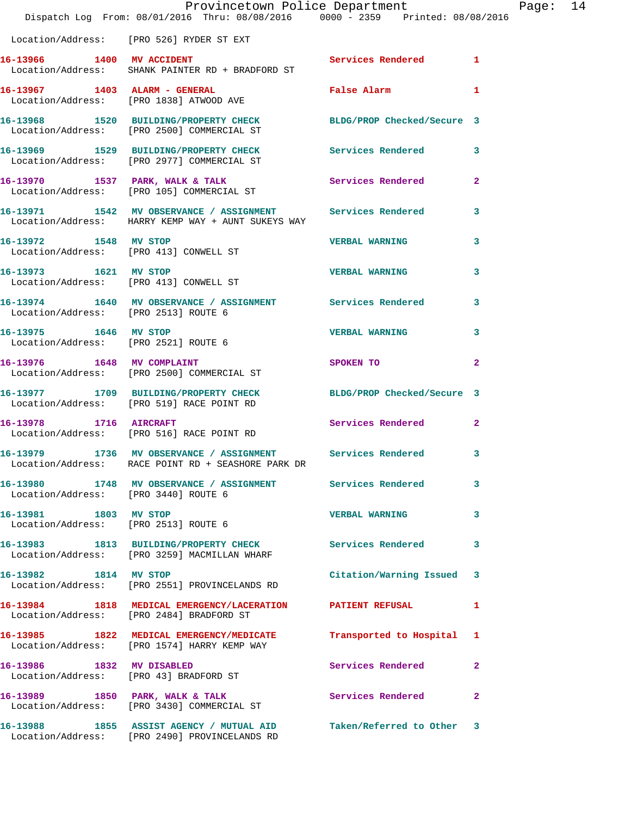|                                                                 | Provincetown Police Department<br>Dispatch Log From: 08/01/2016 Thru: 08/08/2016 0000 - 2359 Printed: 08/08/2016   |                            |                |
|-----------------------------------------------------------------|--------------------------------------------------------------------------------------------------------------------|----------------------------|----------------|
|                                                                 | Location/Address: [PRO 526] RYDER ST EXT                                                                           |                            |                |
| 16-13966 1400 MV ACCIDENT                                       | Location/Address: SHANK PAINTER RD + BRADFORD ST                                                                   | Services Rendered 1        |                |
|                                                                 | 16-13967 1403 ALARM - GENERAL<br>Location/Address: [PRO 1838] ATWOOD AVE                                           | False Alarm                | 1              |
|                                                                 | 16-13968 1520 BUILDING/PROPERTY CHECK BLDG/PROP Checked/Secure 3<br>Location/Address: [PRO 2500] COMMERCIAL ST     |                            |                |
|                                                                 | 16-13969 1529 BUILDING/PROPERTY CHECK<br>Location/Address: [PRO 2977] COMMERCIAL ST                                | Services Rendered          | 3              |
|                                                                 | 16-13970 1537 PARK, WALK & TALK<br>Location/Address: [PRO 105] COMMERCIAL ST                                       | Services Rendered          | $\mathbf{2}$   |
|                                                                 | 16-13971 1542 MV OBSERVANCE / ASSIGNMENT Services Rendered<br>Location/Address: HARRY KEMP WAY + AUNT SUKEYS WAY   |                            | 3              |
| 16-13972 1548 MV STOP                                           | Location/Address: [PRO 413] CONWELL ST                                                                             | <b>VERBAL WARNING</b>      | 3              |
| 16-13973 1621 MV STOP<br>Location/Address: [PRO 413] CONWELL ST |                                                                                                                    | <b>VERBAL WARNING</b>      | 3              |
|                                                                 | 16-13974 1640 MV OBSERVANCE / ASSIGNMENT Services Rendered<br>Location/Address: [PRO 2513] ROUTE 6                 |                            | 3              |
| 16-13975 1646 MV STOP                                           | Location/Address: [PRO 2521] ROUTE 6                                                                               | <b>VERBAL WARNING</b>      | 3              |
| 16-13976 1648 MV COMPLAINT                                      | Location/Address: [PRO 2500] COMMERCIAL ST                                                                         | SPOKEN TO                  | $\overline{a}$ |
|                                                                 | 16-13977 1709 BUILDING/PROPERTY CHECK<br>Location/Address: [PRO 519] RACE POINT RD                                 | BLDG/PROP Checked/Secure 3 |                |
| 16-13978 1716 AIRCRAFT                                          | Location/Address: [PRO 516] RACE POINT RD                                                                          | Services Rendered          | $\mathbf{2}$   |
|                                                                 | 16-13979 1736 MV OBSERVANCE / ASSIGNMENT Services Rendered 3<br>Location/Address: RACE POINT RD + SEASHORE PARK DR |                            |                |
| Location/Address: [PRO 3440] ROUTE 6                            | 16-13980 1748 MV OBSERVANCE / ASSIGNMENT Services Rendered                                                         |                            | $\mathbf{3}$   |
| 16-13981 1803 MV STOP<br>Location/Address: [PRO 2513] ROUTE 6   |                                                                                                                    | <b>VERBAL WARNING</b>      | 3              |
|                                                                 | 16-13983 1813 BUILDING/PROPERTY CHECK Services Rendered<br>Location/Address: [PRO 3259] MACMILLAN WHARF            |                            | 3              |
|                                                                 | 16-13982 1814 MV STOP<br>Location/Address: [PRO 2551] PROVINCELANDS RD                                             | Citation/Warning Issued 3  |                |
|                                                                 | 16-13984 1818 MEDICAL EMERGENCY/LACERATION PATIENT REFUSAL<br>Location/Address: [PRO 2484] BRADFORD ST             |                            | 1              |
|                                                                 | 16-13985 1822 MEDICAL EMERGENCY/MEDICATE<br>Location/Address: [PRO 1574] HARRY KEMP WAY                            | Transported to Hospital 1  |                |
| 16-13986 1832 MV DISABLED                                       | Location/Address: [PRO 43] BRADFORD ST                                                                             | Services Rendered          | 2              |
|                                                                 | 16-13989 1850 PARK, WALK & TALK<br>Location/Address: [PRO 3430] COMMERCIAL ST                                      | Services Rendered          | $\mathbf{2}$   |
|                                                                 | 16-13988 1855 ASSIST AGENCY / MUTUAL AID<br>Location/Address: [PRO 2490] PROVINCELANDS RD                          | Taken/Referred to Other 3  |                |

Page: 14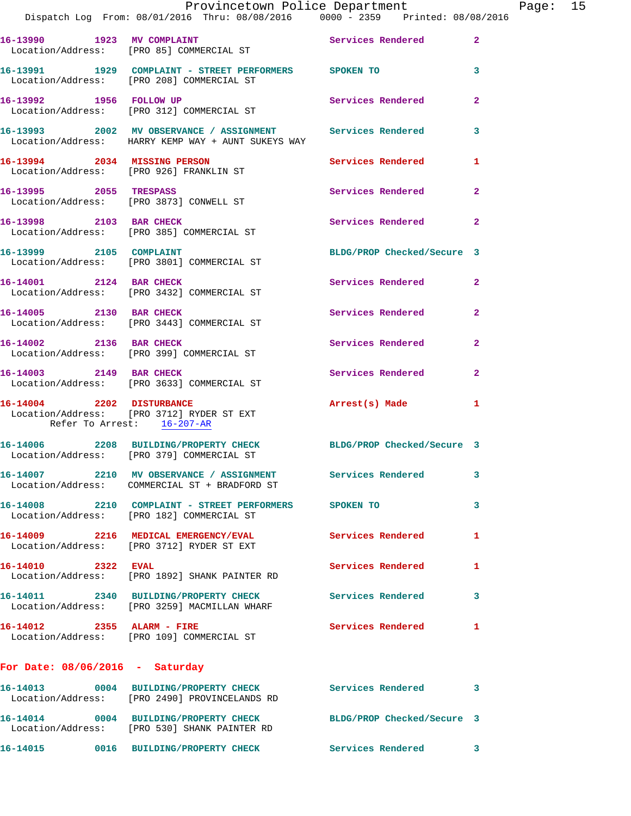|                                                         | Provincetown Police Department<br>Dispatch Log From: 08/01/2016 Thru: 08/08/2016 0000 - 2359 Printed: 08/08/2016 |                            |                |
|---------------------------------------------------------|------------------------------------------------------------------------------------------------------------------|----------------------------|----------------|
|                                                         | 16-13990 1923 MV COMPLAINT<br>Location/Address: [PRO 85] COMMERCIAL ST                                           | Services Rendered          | $\overline{2}$ |
|                                                         | 16-13991 1929 COMPLAINT - STREET PERFORMERS SPOKEN TO<br>Location/Address: [PRO 208] COMMERCIAL ST               |                            | 3              |
|                                                         | 16-13992 1956 FOLLOW UP<br>Location/Address: [PRO 312] COMMERCIAL ST                                             | Services Rendered          | $\overline{a}$ |
|                                                         | 16-13993 2002 MV OBSERVANCE / ASSIGNMENT Services Rendered<br>Location/Address: HARRY KEMP WAY + AUNT SUKEYS WAY |                            | 3              |
| Location/Address: [PRO 926] FRANKLIN ST                 | 16-13994 2034 MISSING PERSON                                                                                     | Services Rendered          | 1              |
| 16-13995 2055 TRESPASS                                  | Location/Address: [PRO 3873] CONWELL ST                                                                          | Services Rendered          | $\mathbf{2}$   |
| 16-13998 2103 BAR CHECK                                 | Location/Address: [PRO 385] COMMERCIAL ST                                                                        | <b>Services Rendered</b>   | $\overline{2}$ |
| 16-13999 2105 COMPLAINT                                 | Location/Address: [PRO 3801] COMMERCIAL ST                                                                       | BLDG/PROP Checked/Secure 3 |                |
| 16-14001 2124 BAR CHECK                                 | Location/Address: [PRO 3432] COMMERCIAL ST                                                                       | Services Rendered          | $\overline{2}$ |
|                                                         | 16-14005 2130 BAR CHECK<br>Location/Address: [PRO 3443] COMMERCIAL ST                                            | Services Rendered          | $\mathbf{2}$   |
| 16-14002 2136 BAR CHECK                                 | Location/Address: [PRO 399] COMMERCIAL ST                                                                        | <b>Services Rendered</b>   | $\overline{a}$ |
|                                                         | 16-14003 2149 BAR CHECK<br>Location/Address: [PRO 3633] COMMERCIAL ST                                            | Services Rendered          | $\overline{2}$ |
| 16-14004 2202 DISTURBANCE<br>Refer To Arrest: 16-207-AR | Location/Address: [PRO 3712] RYDER ST EXT                                                                        | Arrest(s) Made             | 1              |
|                                                         | 16-14006 2208 BUILDING/PROPERTY CHECK<br>Location/Address: [PRO 379] COMMERCIAL ST                               | BLDG/PROP Checked/Secure 3 |                |
|                                                         | 16-14007 2210 MV OBSERVANCE / ASSIGNMENT Services Rendered<br>Location/Address: COMMERCIAL ST + BRADFORD ST      |                            | 3              |
|                                                         | 16-14008 2210 COMPLAINT - STREET PERFORMERS SPOKEN TO<br>Location/Address: [PRO 182] COMMERCIAL ST               |                            | 3              |
|                                                         | 16-14009 2216 MEDICAL EMERGENCY/EVAL<br>Location/Address: [PRO 3712] RYDER ST EXT                                | Services Rendered          | 1              |
| 16-14010 2322 EVAL                                      | Location/Address: [PRO 1892] SHANK PAINTER RD                                                                    | Services Rendered          | 1              |
|                                                         | Location/Address: [PRO 3259] MACMILLAN WHARF                                                                     |                            | 3              |
|                                                         | 16-14012 2355 ALARM - FIRE<br>Location/Address: [PRO 109] COMMERCIAL ST                                          | Services Rendered          | 1              |
| For Date: $08/06/2016$ - Saturday                       |                                                                                                                  |                            |                |
|                                                         | 16-14013 0004 BUILDING/PROPERTY CHECK Services Rendered<br>Location/Address: [PRO 2490] PROVINCELANDS RD         |                            | 3              |
|                                                         | 16-14014 0004 BUILDING/PROPERTY CHECK BLDG/PROP Checked/Secure 3<br>Location/Address: [PRO 530] SHANK PAINTER RD |                            |                |

**16-14015 0016 BUILDING/PROPERTY CHECK Services Rendered 3** 

Page:  $15$ <br>16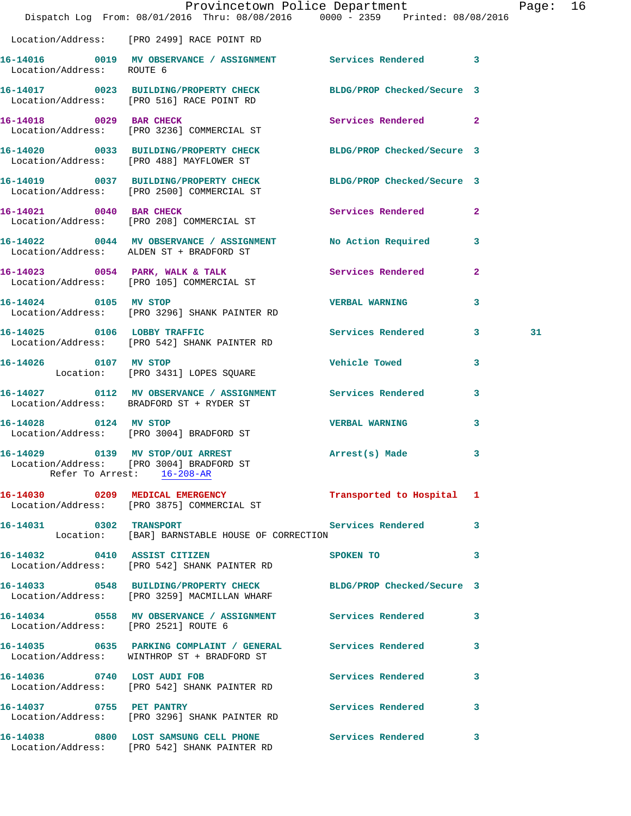|                                      | Provincetown Police Department<br>Dispatch Log From: 08/01/2016 Thru: 08/08/2016 0000 - 2359 Printed: 08/08/2016 |                            |                | Page: 16 |  |
|--------------------------------------|------------------------------------------------------------------------------------------------------------------|----------------------------|----------------|----------|--|
|                                      | Location/Address: [PRO 2499] RACE POINT RD                                                                       |                            |                |          |  |
| Location/Address: ROUTE 6            | 16-14016 0019 MV OBSERVANCE / ASSIGNMENT Services Rendered 3                                                     |                            |                |          |  |
|                                      | 16-14017 0023 BUILDING/PROPERTY CHECK BLDG/PROP Checked/Secure 3<br>Location/Address: [PRO 516] RACE POINT RD    |                            |                |          |  |
| 16-14018 0029 BAR CHECK              | Location/Address: [PRO 3236] COMMERCIAL ST                                                                       | Services Rendered 2        |                |          |  |
|                                      | 16-14020 0033 BUILDING/PROPERTY CHECK BLDG/PROP Checked/Secure 3<br>Location/Address: [PRO 488] MAYFLOWER ST     |                            |                |          |  |
|                                      | 16-14019 0037 BUILDING/PROPERTY CHECK BLDG/PROP Checked/Secure 3<br>Location/Address: [PRO 2500] COMMERCIAL ST   |                            |                |          |  |
|                                      | 16-14021 0040 BAR CHECK<br>Location/Address: [PRO 208] COMMERCIAL ST                                             | Services Rendered 2        |                |          |  |
|                                      | 16-14022 0044 MV OBSERVANCE / ASSIGNMENT No Action Required 3<br>Location/Address: ALDEN ST + BRADFORD ST        |                            |                |          |  |
|                                      | 16-14023 0054 PARK, WALK & TALK Services Rendered<br>Location/Address: [PRO 105] COMMERCIAL ST                   |                            | $\overline{2}$ |          |  |
| 16-14024 0105 MV STOP                | Location/Address: [PRO 3296] SHANK PAINTER RD                                                                    | <b>VERBAL WARNING</b>      | 3              |          |  |
|                                      | 16-14025 0106 LOBBY TRAFFIC Services Rendered 3<br>Location/Address: [PRO 542] SHANK PAINTER RD                  |                            |                | 31       |  |
| 16-14026 0107 MV STOP                | Location: [PRO 3431] LOPES SQUARE                                                                                | <b>Vehicle Towed State</b> | 3              |          |  |
|                                      | 16-14027 0112 MV OBSERVANCE / ASSIGNMENT Services Rendered 3<br>Location/Address: BRADFORD ST + RYDER ST         |                            |                |          |  |
| 16-14028 0124 MV STOP                | Location/Address: [PRO 3004] BRADFORD ST                                                                         | <b>VERBAL WARNING</b>      | 3              |          |  |
| 16-14029 0139 MV STOP/OUI ARREST     | Location/Address: [PRO 3004] BRADFORD ST<br>Refer To Arrest: 16-208-AR                                           | Arrest(s) Made 3           |                |          |  |
|                                      | 16-14030 0209 MEDICAL EMERGENCY<br>Location/Address: [PRO 3875] COMMERCIAL ST                                    | Transported to Hospital 1  |                |          |  |
| 16-14031 0302 TRANSPORT              | Location: [BAR] BARNSTABLE HOUSE OF CORRECTION                                                                   | Services Rendered 3        |                |          |  |
|                                      | 16-14032 0410 ASSIST CITIZEN SPOKEN TO<br>Location/Address: [PRO 542] SHANK PAINTER RD                           |                            | 3              |          |  |
|                                      | 16-14033 0548 BUILDING/PROPERTY CHECK BLDG/PROP Checked/Secure 3<br>Location/Address: [PRO 3259] MACMILLAN WHARF |                            |                |          |  |
| Location/Address: [PRO 2521] ROUTE 6 | 16-14034 0558 MV OBSERVANCE / ASSIGNMENT Services Rendered                                                       |                            | 3              |          |  |
|                                      | 16-14035 0635 PARKING COMPLAINT / GENERAL Services Rendered 3<br>Location/Address: WINTHROP ST + BRADFORD ST     |                            |                |          |  |
|                                      | 16-14036 0740 LOST AUDI FOB<br>Location/Address: [PRO 542] SHANK PAINTER RD                                      | Services Rendered          | 3              |          |  |
| 16-14037 0755 PET PANTRY             | Location/Address: [PRO 3296] SHANK PAINTER RD                                                                    | Services Rendered          | 3              |          |  |
|                                      | 16-14038 0800 LOST SAMSUNG CELL PHONE Services Rendered 3<br>Location/Address: [PRO 542] SHANK PAINTER RD        |                            |                |          |  |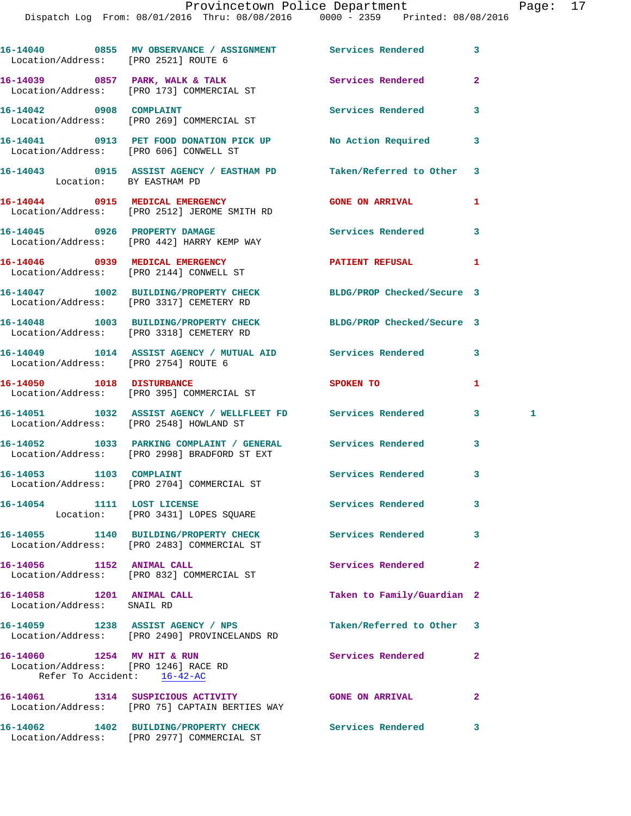| Location/Address: [PRO 2521] ROUTE 6                                                              | 16-14040 0855 MV OBSERVANCE / ASSIGNMENT Services Rendered                                                   |                            | 3              |   |
|---------------------------------------------------------------------------------------------------|--------------------------------------------------------------------------------------------------------------|----------------------------|----------------|---|
|                                                                                                   | 16-14039 0857 PARK, WALK & TALK<br>Location/Address: [PRO 173] COMMERCIAL ST                                 | Services Rendered          | $\overline{2}$ |   |
|                                                                                                   | 16-14042 0908 COMPLAINT<br>Location/Address: [PRO 269] COMMERCIAL ST                                         | Services Rendered          | 3              |   |
|                                                                                                   | 16-14041 0913 PET FOOD DONATION PICK UP No Action Required<br>Location/Address: [PRO 606] CONWELL ST         |                            | 3              |   |
| Location: BY EASTHAM PD                                                                           | 16-14043 0915 ASSIST AGENCY / EASTHAM PD Taken/Referred to Other                                             |                            | 3              |   |
|                                                                                                   | 16-14044 0915 MEDICAL EMERGENCY<br>Location/Address: [PRO 2512] JEROME SMITH RD                              | <b>GONE ON ARRIVAL</b>     | 1              |   |
|                                                                                                   | 16-14045 0926 PROPERTY DAMAGE<br>Location/Address: [PRO 442] HARRY KEMP WAY                                  | <b>Services Rendered</b>   | 3              |   |
|                                                                                                   | 16-14046  0939 MEDICAL EMERGENCY<br>Location/Address: [PRO 2144] CONWELL ST                                  | PATIENT REFUSAL            | 1              |   |
|                                                                                                   | 16-14047 1002 BUILDING/PROPERTY CHECK BLDG/PROP Checked/Secure 3<br>Location/Address: [PRO 3317] CEMETERY RD |                            |                |   |
|                                                                                                   | 16-14048 1003 BUILDING/PROPERTY CHECK BLDG/PROP Checked/Secure 3<br>Location/Address: [PRO 3318] CEMETERY RD |                            |                |   |
| Location/Address: [PRO 2754] ROUTE 6                                                              | 16-14049 1014 ASSIST AGENCY / MUTUAL AID Services Rendered                                                   |                            | 3              |   |
| 16-14050 1018 DISTURBANCE                                                                         | Location/Address: [PRO 395] COMMERCIAL ST                                                                    | <b>SPOKEN TO</b>           | 1              |   |
|                                                                                                   | 16-14051 1032 ASSIST AGENCY / WELLFLEET FD Services Rendered<br>Location/Address: [PRO 2548] HOWLAND ST      |                            | $3^{\circ}$    | 1 |
|                                                                                                   | 16-14052 1033 PARKING COMPLAINT / GENERAL Services Rendered<br>Location/Address: [PRO 2998] BRADFORD ST EXT  |                            | 3              |   |
|                                                                                                   | 16-14053 1103 COMPLAINT<br>Location/Address: [PRO 2704] COMMERCIAL ST                                        | Services Rendered          | 3              |   |
| 16-14054 1111 LOST LICENSE                                                                        | Location: [PRO 3431] LOPES SQUARE                                                                            | Services Rendered          | 3              |   |
|                                                                                                   | 16-14055 1140 BUILDING/PROPERTY CHECK<br>Location/Address: [PRO 2483] COMMERCIAL ST                          | <b>Services Rendered</b>   | 3              |   |
| 16-14056 1152 ANIMAL CALL                                                                         | Location/Address: [PRO 832] COMMERCIAL ST                                                                    | <b>Services Rendered</b>   | $\mathbf{2}$   |   |
| 16-14058 1201 ANIMAL CALL<br>Location/Address: SNAIL RD                                           |                                                                                                              | Taken to Family/Guardian 2 |                |   |
|                                                                                                   | 16-14059 1238 ASSIST AGENCY / NPS<br>Location/Address: [PRO 2490] PROVINCELANDS RD                           | Taken/Referred to Other    | 3              |   |
| 16-14060 1254 MV HIT & RUN<br>Location/Address: [PRO 1246] RACE RD<br>Refer To Accident: 16-42-AC |                                                                                                              | Services Rendered          | $\mathbf{2}$   |   |
|                                                                                                   | 16-14061 1314 SUSPICIOUS ACTIVITY<br>Location/Address: [PRO 75] CAPTAIN BERTIES WAY                          | <b>GONE ON ARRIVAL</b>     | $\mathbf{2}$   |   |
|                                                                                                   | 16-14062 1402 BUILDING/PROPERTY CHECK Services Rendered                                                      |                            | 3              |   |

Location/Address: [PRO 2977] COMMERCIAL ST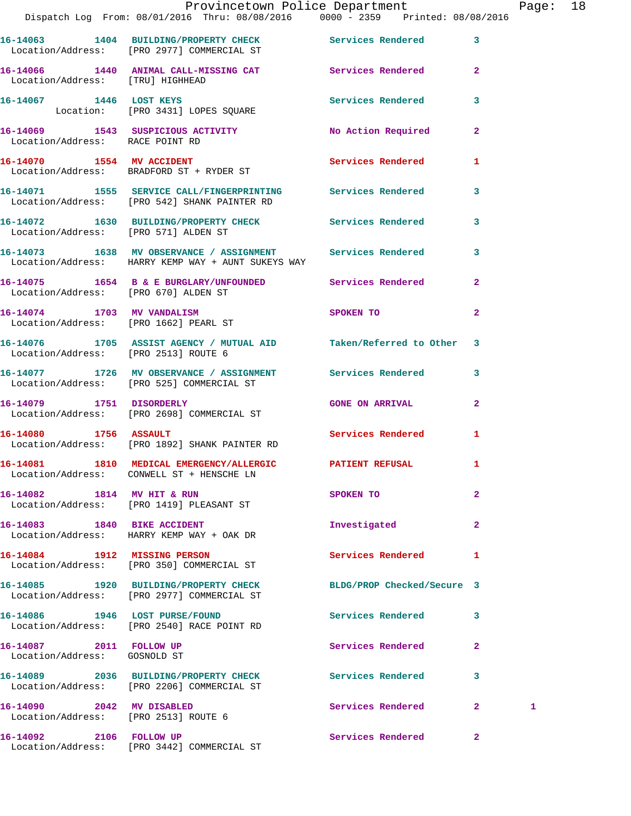|                                                                   | Provincetown Police Department<br>Dispatch Log From: 08/01/2016 Thru: 08/08/2016 0000 - 2359 Printed: 08/08/2016   |                             |                | Page: 18 |  |
|-------------------------------------------------------------------|--------------------------------------------------------------------------------------------------------------------|-----------------------------|----------------|----------|--|
|                                                                   | 16-14063 1404 BUILDING/PROPERTY CHECK Services Rendered 3<br>Location/Address: [PRO 2977] COMMERCIAL ST            |                             |                |          |  |
| Location/Address: [TRU] HIGHHEAD                                  | 16-14066 1440 ANIMAL CALL-MISSING CAT Services Rendered 2                                                          |                             |                |          |  |
|                                                                   | 16-14067 1446 LOST KEYS<br>Location: [PRO 3431] LOPES SQUARE                                                       | Services Rendered 3         |                |          |  |
| Location/Address: RACE POINT RD                                   | 16-14069 1543 SUSPICIOUS ACTIVITY 1999 No Action Required 2                                                        |                             |                |          |  |
|                                                                   | 16-14070 1554 MV ACCIDENT<br>Location/Address: BRADFORD ST + RYDER ST                                              | Services Rendered 1         |                |          |  |
|                                                                   | 16-14071 1555 SERVICE CALL/FINGERPRINTING Services Rendered 3<br>Location/Address: [PRO 542] SHANK PAINTER RD      |                             |                |          |  |
|                                                                   | 16-14072 1630 BUILDING/PROPERTY CHECK Services Rendered 3<br>Location/Address: [PRO 571] ALDEN ST                  |                             |                |          |  |
|                                                                   | 16-14073 1638 MV OBSERVANCE / ASSIGNMENT Services Rendered 3<br>Location/Address: HARRY KEMP WAY + AUNT SUKEYS WAY |                             |                |          |  |
|                                                                   | 16-14075 1654 B & E BURGLARY/UNFOUNDED Services Rendered 2<br>Location/Address: [PRO 670] ALDEN ST                 |                             |                |          |  |
| Location/Address: [PRO 1662] PEARL ST                             | 16-14074 1703 MV VANDALISM                                                                                         | SPOKEN TO AND THE SPOKEN TO | $\overline{2}$ |          |  |
| Location/Address: [PRO 2513] ROUTE 6                              | 16-14076 1705 ASSIST AGENCY / MUTUAL AID Taken/Referred to Other 3                                                 |                             |                |          |  |
|                                                                   | 16-14077 1726 MV OBSERVANCE / ASSIGNMENT Services Rendered 3<br>Location/Address: [PRO 525] COMMERCIAL ST          |                             |                |          |  |
|                                                                   | 16-14079 1751 DISORDERLY<br>Location/Address: [PRO 2698] COMMERCIAL ST                                             | <b>GONE ON ARRIVAL</b>      | $\overline{2}$ |          |  |
|                                                                   | 16-14080 1756 ASSAULT<br>Location/Address: [PRO 1892] SHANK PAINTER RD                                             | Services Rendered 1         |                |          |  |
|                                                                   | 16-14081 1810 MEDICAL EMERGENCY/ALLERGIC PATIENT REFUSAL<br>Location/Address: CONWELL ST + HENSCHE LN              |                             |                |          |  |
|                                                                   | 16-14082 1814 MV HIT & RUN<br>Location/Address: [PRO 1419] PLEASANT ST                                             | SPOKEN TO                   | $\mathbf{2}$   |          |  |
|                                                                   | 16-14083 1840 BIKE ACCIDENT<br>Location/Address: HARRY KEMP WAY + OAK DR                                           | Investigated                | $\mathbf{2}$   |          |  |
|                                                                   | 16-14084 1912 MISSING PERSON<br>Location/Address: [PRO 350] COMMERCIAL ST                                          | Services Rendered           | 1              |          |  |
|                                                                   | 16-14085 1920 BUILDING/PROPERTY CHECK<br>Location/Address: [PRO 2977] COMMERCIAL ST                                | BLDG/PROP Checked/Secure 3  |                |          |  |
|                                                                   | 16-14086 1946 LOST PURSE/FOUND<br>Location/Address: [PRO 2540] RACE POINT RD                                       | Services Rendered           | 3              |          |  |
| 16-14087 2011 FOLLOW UP<br>Location/Address: GOSNOLD ST           |                                                                                                                    | Services Rendered           | $\mathbf{2}$   |          |  |
|                                                                   | 16-14089 2036 BUILDING/PROPERTY CHECK Services Rendered<br>Location/Address: [PRO 2206] COMMERCIAL ST              |                             | 3              |          |  |
| 16-14090 2042 MV DISABLED<br>Location/Address: [PRO 2513] ROUTE 6 |                                                                                                                    | Services Rendered           | $\mathbf{2}$   | 1        |  |
| 16-14092 2106 FOLLOW UP                                           |                                                                                                                    | Services Rendered           | $\mathbf{2}$   |          |  |

Location/Address: [PRO 3442] COMMERCIAL ST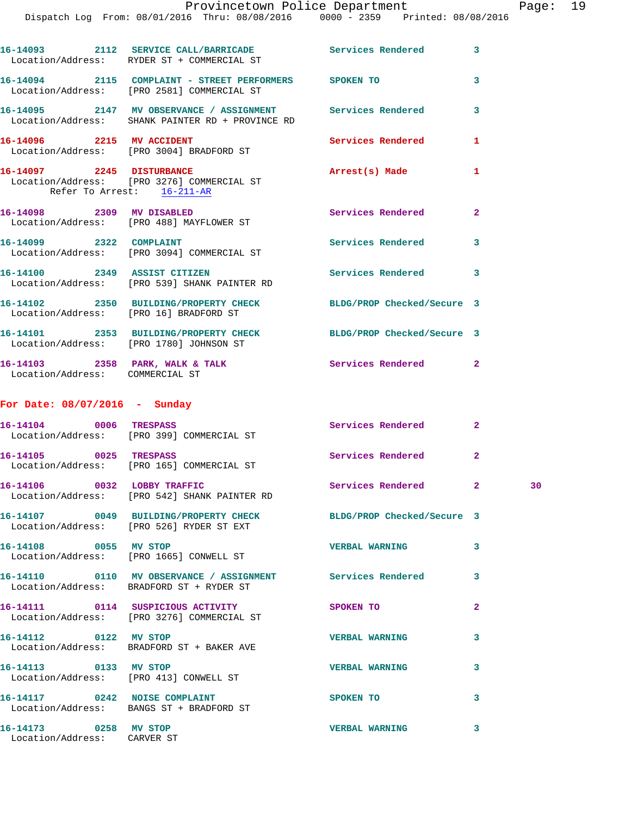|                                 | Provincetown Police Department<br>Dispatch Log From: 08/01/2016 Thru: 08/08/2016 0000 - 2359 Printed: 08/08/2016 |                          |              | Page |
|---------------------------------|------------------------------------------------------------------------------------------------------------------|--------------------------|--------------|------|
|                                 | 16-14093 2112 SERVICE CALL/BARRICADE Services Rendered 3<br>Location/Address: RYDER ST + COMMERCIAL ST           |                          |              |      |
|                                 | 16-14094 2115 COMPLAINT - STREET PERFORMERS SPOKEN TO<br>Location/Address: [PRO 2581] COMMERCIAL ST              |                          | 3            |      |
|                                 |                                                                                                                  |                          | 3            |      |
| 16-14096 2215 MV ACCIDENT       | Location/Address: [PRO 3004] BRADFORD ST                                                                         | Services Rendered        | 1            |      |
|                                 | 16-14097 2245 DISTURBANCE<br>Location/Address: [PRO 3276] COMMERCIAL ST<br>Refer To Arrest: 16-211-AR            | Arrest(s) Made           | $\mathbf{1}$ |      |
|                                 | 16-14098 2309 MV DISABLED<br>Location/Address: [PRO 488] MAYFLOWER ST                                            | Services Rendered        | $\mathbf{2}$ |      |
| 16-14099 2322 COMPLAINT         | Location/Address: [PRO 3094] COMMERCIAL ST                                                                       | Services Rendered 3      |              |      |
|                                 | 16-14100 2349 ASSIST CITIZEN<br>Location/Address: [PRO 539] SHANK PAINTER RD                                     | <b>Services Rendered</b> | 3            |      |
|                                 | 16-14102 2350 BUILDING/PROPERTY CHECK BLDG/PROP Checked/Secure 3<br>Location/Address: [PRO 16] BRADFORD ST       |                          |              |      |
|                                 | 16-14101 2353 BUILDING/PROPERTY CHECK BLDG/PROP Checked/Secure 3<br>Location/Address: [PRO 1780] JOHNSON ST      |                          |              |      |
| Location/Address: COMMERCIAL ST | 16-14103 2358 PARK, WALK & TALK                                                                                  | Services Rendered 2      |              |      |
| For Date: $08/07/2016$ - Sunday |                                                                                                                  |                          |              |      |
|                                 | 16-14104 0006 TRESPASS<br>Location/Address: [PRO 399] COMMERCIAL ST                                              | Services Rendered 2      |              |      |
| 16-14105 0025 TRESPASS          | Location/Address: [PRO 165] COMMERCIAL ST                                                                        | Services Rendered        | $\mathbf{2}$ |      |
|                                 | 16-14106 0032 LOBBY TRAFFIC<br>Location/Address: [PRO 542] SHANK PAINTER RD                                      | Services Rendered 2      |              | 30   |
|                                 | 16-14107 0049 BUILDING/PROPERTY CHECK BLDG/PROP Checked/Secure 3<br>Location/Address: [PRO 526] RYDER ST EXT     |                          |              |      |
| 16-14108 0055 MV STOP           | Location/Address: [PRO 1665] CONWELL ST                                                                          | <b>VERBAL WARNING</b>    | 3            |      |
|                                 | Location/Address: BRADFORD ST + RYDER ST                                                                         |                          | 3            |      |
|                                 | 16-14111  0114  SUSPICIOUS ACTIVITY<br>Location/Address: [PRO 3276] COMMERCIAL ST                                | SPOKEN TO                | $\mathbf{2}$ |      |
|                                 | 16-14112 0122 MV STOP<br>Location/Address: BRADFORD ST + BAKER AVE                                               | <b>VERBAL WARNING</b>    | 3            |      |
| 16-14113 0133 MV STOP           | Location/Address: [PRO 413] CONWELL ST                                                                           | <b>VERBAL WARNING</b>    | 3            |      |
|                                 | 16-14117 0242 NOISE COMPLAINT<br>Location/Address: BANGS ST + BRADFORD ST                                        | SPOKEN TO                | 3            |      |
|                                 |                                                                                                                  |                          |              |      |

**16-14173 0258 MV STOP VERBAL WARNING 3** 

Location/Address: CARVER ST

Page: 19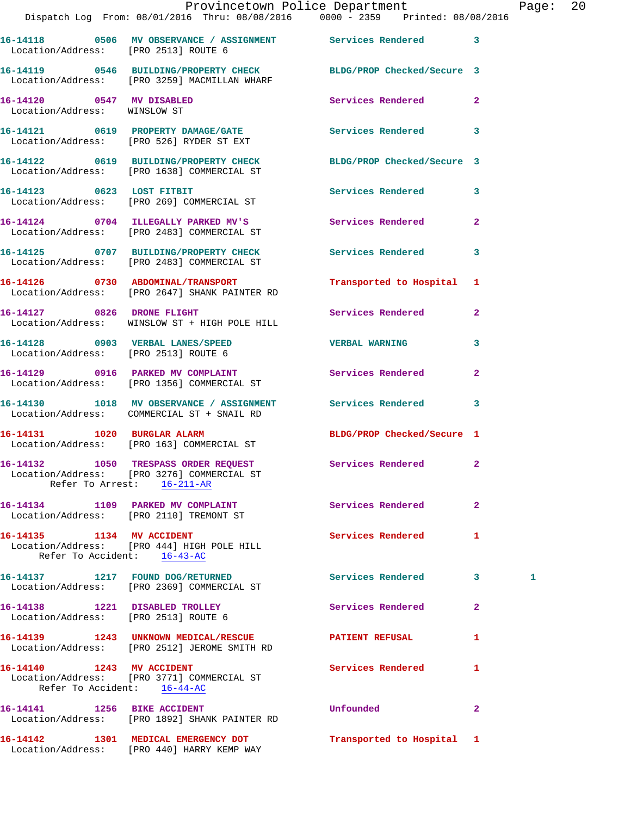|                                                                        | Dispatch Log From: 08/01/2016 Thru: 08/08/2016 0000 - 2359 Printed: 08/08/2016                                   | Provincetown Police Department |              | Page: 20 |  |
|------------------------------------------------------------------------|------------------------------------------------------------------------------------------------------------------|--------------------------------|--------------|----------|--|
| Location/Address: [PRO 2513] ROUTE 6                                   | 16-14118 0506 MV OBSERVANCE / ASSIGNMENT Services Rendered 3                                                     |                                |              |          |  |
|                                                                        | 16-14119 0546 BUILDING/PROPERTY CHECK BLDG/PROP Checked/Secure 3<br>Location/Address: [PRO 3259] MACMILLAN WHARF |                                |              |          |  |
| 16-14120 0547 MV DISABLED<br>Location/Address: WINSLOW ST              |                                                                                                                  | Services Rendered 2            |              |          |  |
|                                                                        | 16-14121   0619   PROPERTY DAMAGE/GATE   Services Rendered   3<br>Location/Address: [PRO 526] RYDER ST EXT       |                                |              |          |  |
|                                                                        | 16-14122 0619 BUILDING/PROPERTY CHECK BLDG/PROP Checked/Secure 3<br>Location/Address: [PRO 1638] COMMERCIAL ST   |                                |              |          |  |
|                                                                        | 16-14123 0623 LOST FITBIT<br>Location/Address: [PRO 269] COMMERCIAL ST                                           | Services Rendered 3            |              |          |  |
|                                                                        | 16-14124 0704 ILLEGALLY PARKED MV'S Services Rendered 2<br>Location/Address: [PRO 2483] COMMERCIAL ST            |                                |              |          |  |
|                                                                        | 16-14125 0707 BUILDING/PROPERTY CHECK Services Rendered 3<br>Location/Address: [PRO 2483] COMMERCIAL ST          |                                |              |          |  |
|                                                                        | 16-14126 0730 ABDOMINAL/TRANSPORT<br>Location/Address: [PRO 2647] SHANK PAINTER RD                               | Transported to Hospital 1      |              |          |  |
|                                                                        | 16-14127 0826 DRONE FLIGHT<br>Location/Address: WINSLOW ST + HIGH POLE HILL                                      | Services Rendered 2            |              |          |  |
| Location/Address: [PRO 2513] ROUTE 6                                   | 16-14128 0903 VERBAL LANES/SPEED VERBAL WARNING                                                                  |                                | $\mathbf{3}$ |          |  |
|                                                                        | 16-14129 0916 PARKED MV COMPLAINT<br>Location/Address: [PRO 1356] COMMERCIAL ST                                  | Services Rendered              | $\mathbf{2}$ |          |  |
|                                                                        | 16-14130 1018 MV OBSERVANCE / ASSIGNMENT Services Rendered 3<br>Location/Address: COMMERCIAL ST + SNAIL RD       |                                |              |          |  |
|                                                                        | 16-14131 1020 BURGLAR ALARM<br>Location/Address: [PRO 163] COMMERCIAL ST                                         | BLDG/PROP Checked/Secure 1     |              |          |  |
|                                                                        | 16-14132 1050 TRESPASS ORDER REQUEST<br>Location/Address: [PRO 3276] COMMERCIAL ST<br>Refer To Arrest: 16-211-AR | <b>Services Rendered</b> 2     |              |          |  |
|                                                                        | 16-14134 1109 PARKED MV COMPLAINT<br>Location/Address: [PRO 2110] TREMONT ST                                     | <b>Services Rendered</b>       | $\mathbf{2}$ |          |  |
| 16-14135 1134 MV ACCIDENT<br>Refer To Accident: 16-43-AC               | Location/Address: [PRO 444] HIGH POLE HILL                                                                       | Services Rendered 1            |              |          |  |
|                                                                        | 16-14137 1217 FOUND DOG/RETURNED<br>Location/Address: [PRO 2369] COMMERCIAL ST                                   | Services Rendered 3            |              | 1        |  |
| 16-14138 1221 DISABLED TROLLEY<br>Location/Address: [PRO 2513] ROUTE 6 |                                                                                                                  | Services Rendered              | $\mathbf{2}$ |          |  |
|                                                                        | 16-14139 1243 UNKNOWN MEDICAL/RESCUE<br>Location/Address: [PRO 2512] JEROME SMITH RD                             | <b>PATIENT REFUSAL</b>         | $\mathbf{1}$ |          |  |
| 16-14140 1243 MV ACCIDENT<br>Refer To Accident: 16-44-AC               | Location/Address: [PRO 3771] COMMERCIAL ST                                                                       | Services Rendered              | 1            |          |  |
| 16-14141 1256 BIKE ACCIDENT                                            | Location/Address: [PRO 1892] SHANK PAINTER RD                                                                    | Unfounded                      | $\mathbf{2}$ |          |  |

**16-14142 1301 MEDICAL EMERGENCY DOT Transported to Hospital 1** 

Location/Address: [PRO 440] HARRY KEMP WAY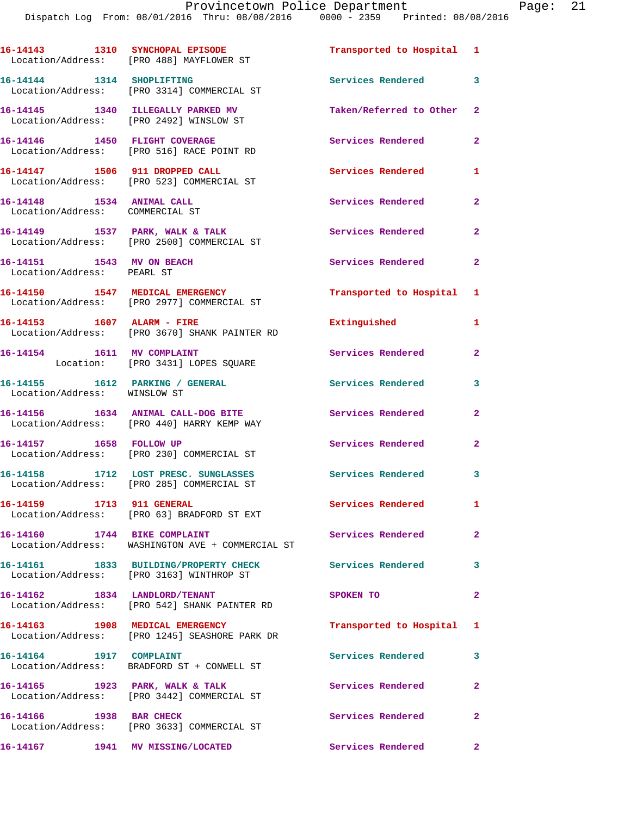|                                                                  | 16-14143 1310 SYNCHOPAL EPISODE<br>Location/Address: [PRO 488] MAYFLOWER ST       | Transported to Hospital 1  |                            |
|------------------------------------------------------------------|-----------------------------------------------------------------------------------|----------------------------|----------------------------|
| 16-14144 1314 SHOPLIFTING                                        | Location/Address: [PRO 3314] COMMERCIAL ST                                        | Services Rendered 3        |                            |
|                                                                  | 16-14145 1340 ILLEGALLY PARKED MV<br>Location/Address: [PRO 2492] WINSLOW ST      | Taken/Referred to Other 2  |                            |
|                                                                  | 16-14146 1450 FLIGHT COVERAGE<br>Location/Address: [PRO 516] RACE POINT RD        | <b>Services Rendered</b>   | $\overline{2}$             |
| 16-14147 1506 911 DROPPED CALL                                   | Location/Address: [PRO 523] COMMERCIAL ST                                         | Services Rendered          | $\mathbf{1}$               |
| 16-14148   1534   ANIMAL CALL<br>Location/Address: COMMERCIAL ST |                                                                                   | Services Rendered          | $\mathbf{2}$               |
|                                                                  | 16-14149 1537 PARK, WALK & TALK<br>Location/Address: [PRO 2500] COMMERCIAL ST     | <b>Services Rendered</b> 2 |                            |
| 16-14151 1543 MV ON BEACH<br>Location/Address: PEARL ST          |                                                                                   | Services Rendered          | $\mathbf{2}$               |
|                                                                  | 16-14150 1547 MEDICAL EMERGENCY<br>Location/Address: [PRO 2977] COMMERCIAL ST     | Transported to Hospital 1  |                            |
|                                                                  | 16-14153 1607 ALARM - FIRE<br>Location/Address: [PRO 3670] SHANK PAINTER RD       | Extinguished               | $\mathbf{1}$               |
| 16-14154 1611 MV COMPLAINT                                       | Location: [PRO 3431] LOPES SQUARE                                                 | Services Rendered          | $\mathbf{2}$               |
| Location/Address: WINSLOW ST                                     | 16-14155    1612    PARKING / GENERAL                                             | <b>Services Rendered</b>   | 3                          |
|                                                                  | 16-14156 1634 ANIMAL CALL-DOG BITE<br>Location/Address: [PRO 440] HARRY KEMP WAY  | <b>Services Rendered</b>   | $\overline{2}$             |
| 16-14157 1658 FOLLOW UP                                          | Location/Address: [PRO 230] COMMERCIAL ST                                         | Services Rendered          | $\overline{2}$             |
|                                                                  | 16-14158 1712 LOST PRESC. SUNGLASSES<br>Location/Address: [PRO 285] COMMERCIAL ST | <b>Services Rendered</b>   | $\overline{\phantom{a}}$ 3 |
| 16-14159 1713 911 GENERAL                                        | Location/Address: [PRO 63] BRADFORD ST EXT                                        | Services Rendered          | $\mathbf{1}$               |
| 16-14160 1744 BIKE COMPLAINT                                     | Location/Address: WASHINGTON AVE + COMMERCIAL ST                                  | Services Rendered 2        |                            |
|                                                                  | 16-14161 1833 BUILDING/PROPERTY CHECK<br>Location/Address: [PRO 3163] WINTHROP ST | Services Rendered          | 3                          |
| 16-14162 1834 LANDLORD/TENANT                                    | Location/Address: [PRO 542] SHANK PAINTER RD                                      | SPOKEN TO                  | $\mathbf{2}$               |
|                                                                  | 16-14163 1908 MEDICAL EMERGENCY<br>Location/Address: [PRO 1245] SEASHORE PARK DR  | Transported to Hospital 1  |                            |
| 16-14164 1917 COMPLAINT                                          | Location/Address: BRADFORD ST + CONWELL ST                                        | Services Rendered          | 3                          |
|                                                                  | 16-14165 1923 PARK, WALK & TALK<br>Location/Address: [PRO 3442] COMMERCIAL ST     | Services Rendered          | $\mathbf{2}$               |
| 16-14166 1938 BAR CHECK                                          | Location/Address: [PRO 3633] COMMERCIAL ST                                        | Services Rendered          | $\overline{2}$             |
|                                                                  |                                                                                   | Services Rendered          | $\mathbf{2}$               |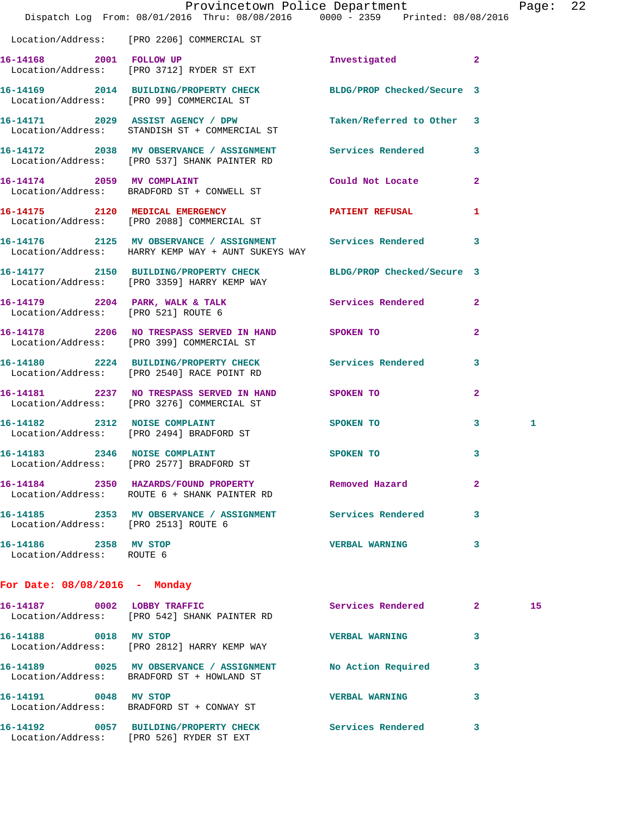|                                                    | Dispatch Log From: 08/01/2016 Thru: 08/08/2016 0000 - 2359 Printed: 08/08/2016                                     | Provincetown Police Department Page: 22 |                |    |  |
|----------------------------------------------------|--------------------------------------------------------------------------------------------------------------------|-----------------------------------------|----------------|----|--|
|                                                    |                                                                                                                    |                                         |                |    |  |
|                                                    | Location/Address: [PRO 2206] COMMERCIAL ST                                                                         |                                         |                |    |  |
|                                                    | 16-14168 2001 FOLLOW UP<br>Location/Address: [PRO 3712] RYDER ST EXT                                               | Investigated                            | $\mathbf{2}$   |    |  |
|                                                    | 16-14169 2014 BUILDING/PROPERTY CHECK BLDG/PROP Checked/Secure 3<br>Location/Address: [PRO 99] COMMERCIAL ST       |                                         |                |    |  |
|                                                    | 16-14171 2029 ASSIST AGENCY / DPW Taken/Referred to Other 3<br>Location/Address: STANDISH ST + COMMERCIAL ST       |                                         |                |    |  |
|                                                    | 16-14172 2038 MV OBSERVANCE / ASSIGNMENT Services Rendered 3<br>Location/Address: [PRO 537] SHANK PAINTER RD       |                                         |                |    |  |
|                                                    | 16-14174 2059 MV COMPLAINT<br>Location/Address: BRADFORD ST + CONWELL ST                                           | Could Not Locate                        | $\overline{2}$ |    |  |
|                                                    | 16-14175 2120 MEDICAL EMERGENCY PATIENT REFUSAL Location/Address: [PRO 2088] COMMERCIAL ST                         |                                         | 1              |    |  |
|                                                    | 16-14176 2125 MV OBSERVANCE / ASSIGNMENT Services Rendered 3<br>Location/Address: HARRY KEMP WAY + AUNT SUKEYS WAY |                                         |                |    |  |
|                                                    | 16-14177 2150 BUILDING/PROPERTY CHECK BLDG/PROP Checked/Secure 3<br>Location/Address: [PRO 3359] HARRY KEMP WAY    |                                         |                |    |  |
| Location/Address: [PRO 521] ROUTE 6                | 16-14179 2204 PARK, WALK & TALK 3 Services Rendered 2                                                              |                                         |                |    |  |
|                                                    | 16-14178 2206 NO TRESPASS SERVED IN HAND SPOKEN TO<br>Location/Address: [PRO 399] COMMERCIAL ST                    |                                         | $\mathbf{2}$   |    |  |
|                                                    | 16-14180 2224 BUILDING/PROPERTY CHECK Services Rendered<br>Location/Address: [PRO 2540] RACE POINT RD              |                                         | 3              |    |  |
|                                                    | 16-14181 2237 NO TRESPASS SERVED IN HAND SPOKEN TO<br>Location/Address: [PRO 3276] COMMERCIAL ST                   |                                         | $\mathbf{2}$   |    |  |
|                                                    | 16-14182 2312 NOISE COMPLAINT<br>Location/Address: [PRO 2494] BRADFORD ST                                          | <b>SPOKEN TO</b>                        | 3              | 1  |  |
|                                                    | 16-14183 2346 NOISE COMPLAINT SPOKEN TO<br>Location/Address: [PRO 2577] BRADFORD ST                                |                                         | 3              |    |  |
|                                                    | 16-14184 2350 HAZARDS/FOUND PROPERTY Removed Hazard<br>Location/Address: ROUTE 6 + SHANK PAINTER RD                |                                         | $\mathbf{2}$   |    |  |
| Location/Address: [PRO 2513] ROUTE 6               | 16-14185 2353 MV OBSERVANCE / ASSIGNMENT Services Rendered                                                         |                                         | 3              |    |  |
| 16-14186 2358 MV STOP<br>Location/Address: ROUTE 6 |                                                                                                                    | <b>VERBAL WARNING</b>                   | 3              |    |  |
| For Date: 08/08/2016 - Monday                      |                                                                                                                    |                                         |                |    |  |
|                                                    | 16-14187 0002 LOBBY TRAFFIC<br>Location/Address: [PRO 542] SHANK PAINTER RD                                        | Services Rendered 2                     |                | 15 |  |
| 16-14188 0018 MV STOP                              | Location/Address: [PRO 2812] HARRY KEMP WAY                                                                        | <b>VERBAL WARNING</b>                   | 3              |    |  |
|                                                    | 16-14189 0025 MV OBSERVANCE / ASSIGNMENT No Action Required<br>Location/Address: BRADFORD ST + HOWLAND ST          |                                         | 3              |    |  |
| 16-14191 0048 MV STOP                              | Location/Address: BRADFORD ST + CONWAY ST                                                                          | <b>VERBAL WARNING</b>                   | 3              |    |  |
|                                                    | 16-14192 0057 BUILDING/PROPERTY CHECK Services Rendered 3                                                          |                                         |                |    |  |

Location/Address: [PRO 526] RYDER ST EXT